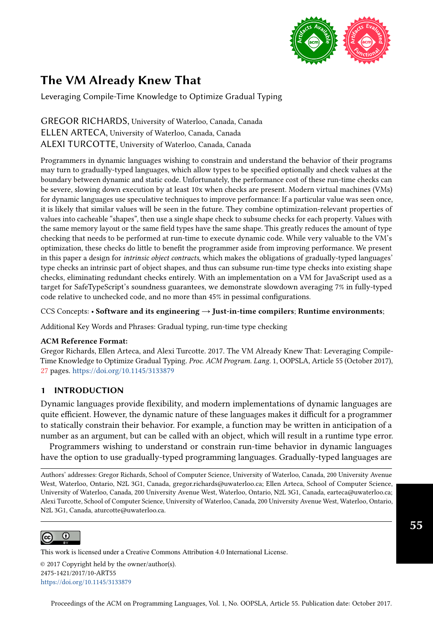

# The VM Already Knew That

Leveraging Compile-Time Knowledge to Optimize Gradual Typing

GREGOR RICHARDS, University of Waterloo, Canada, Canada ELLEN ARTECA, University of Waterloo, Canada, Canada ALEXI TURCOTTE, University of Waterloo, Canada, Canada

Programmers in dynamic languages wishing to constrain and understand the behavior of their programs may turn to gradually-typed languages, which allow types to be specified optionally and check values at the boundary between dynamic and static code. Unfortunately, the performance cost of these run-time checks can be severe, slowing down execution by at least 10x when checks are present. Modern virtual machines (VMs) for dynamic languages use speculative techniques to improve performance: If a particular value was seen once, it is likely that similar values will be seen in the future. They combine optimization-relevant properties of values into cacheable "shapes", then use a single shape check to subsume checks for each property. Values with the same memory layout or the same field types have the same shape. This greatly reduces the amount of type checking that needs to be performed at run-time to execute dynamic code. While very valuable to the VM's optimization, these checks do little to benefit the programmer aside from improving performance. We present in this paper a design for intrinsic object contracts, which makes the obligations of gradually-typed languages' type checks an intrinsic part of object shapes, and thus can subsume run-time type checks into existing shape checks, eliminating redundant checks entirely. With an implementation on a VM for JavaScript used as a target for SafeTypeScript's soundness guarantees, we demonstrate slowdown averaging 7% in fully-typed code relative to unchecked code, and no more than 45% in pessimal configurations.

CCS Concepts: • Software and its engineering  $\rightarrow$  Just-in-time compilers; Runtime environments;

Additional Key Words and Phrases: Gradual typing, run-time type checking

## ACM Reference Format:

Gregor Richards, Ellen Arteca, and Alexi Turcotte. 2017. The VM Already Knew That: Leveraging Compile-Time Knowledge to Optimize Gradual Typing. Proc. ACM Program. Lang. 1, OOPSLA, Article 55 (October 2017), [27](#page-26-0) pages. <https://doi.org/10.1145/3133879>

## 1 INTRODUCTION

Dynamic languages provide flexibility, and modern implementations of dynamic languages are quite efficient. However, the dynamic nature of these languages makes it difficult for a programmer to statically constrain their behavior. For example, a function may be written in anticipation of a number as an argument, but can be called with an object, which will result in a runtime type error.

Programmers wishing to understand or constrain run-time behavior in dynamic languages have the option to use gradually-typed programming languages. Gradually-typed languages are

Authors' addresses: Gregor Richards, School of Computer Science, University of Waterloo, Canada, 200 University Avenue West, Waterloo, Ontario, N2L 3G1, Canada, gregor.richards@uwaterloo.ca; Ellen Arteca, School of Computer Science, University of Waterloo, Canada, 200 University Avenue West, Waterloo, Ontario, N2L 3G1, Canada, earteca@uwaterloo.ca; Alexi Turcotte, School of Computer Science, University of Waterloo, Canada, 200 University Avenue West, Waterloo, Ontario, N2L 3G1, Canada, aturcotte@uwaterloo.ca.



 $\zeta$  and  $\zeta$  page. Copyrights for this work must be honored. For all other uses,  $\zeta$ This work is licensed under a Creative Commons Attribution 4.0 International License.

© 2017 Copyright held by the owner/author(s). 2475-1421/2017/10-ART55 <https://doi.org/10.1145/3133879>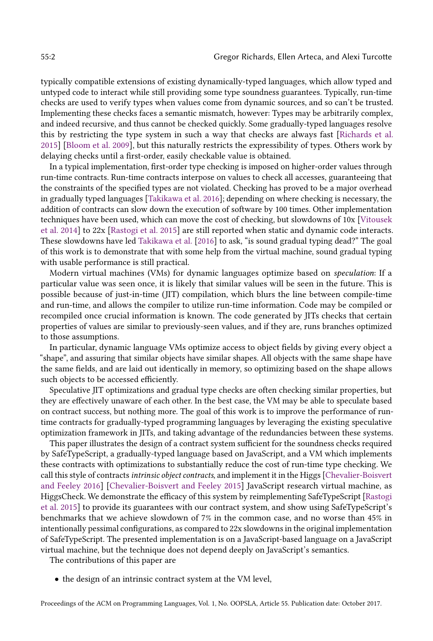typically compatible extensions of existing dynamically-typed languages, which allow typed and untyped code to interact while still providing some type soundness guarantees. Typically, run-time checks are used to verify types when values come from dynamic sources, and so can't be trusted. Implementing these checks faces a semantic mismatch, however: Types may be arbitrarily complex, and indeed recursive, and thus cannot be checked quickly. Some gradually-typed languages resolve this by restricting the type system in such a way that checks are always fast [\[Richards et al.](#page-25-0) [2015\]](#page-25-0) [\[Bloom et al.](#page-25-1) [2009\]](#page-25-1), but this naturally restricts the expressibility of types. Others work by delaying checks until a first-order, easily checkable value is obtained.

In a typical implementation, first-order type checking is imposed on higher-order values through run-time contracts. Run-time contracts interpose on values to check all accesses, guaranteeing that the constraints of the specified types are not violated. Checking has proved to be a major overhead in gradually typed languages [\[Takikawa et al.](#page-26-1) [2016\]](#page-26-1); depending on where checking is necessary, the addition of contracts can slow down the execution of software by 100 times. Other implementation techniques have been used, which can move the cost of checking, but slowdowns of 10x [\[Vitousek](#page-26-2) [et al.](#page-26-2) [2014\]](#page-26-2) to 22x [\[Rastogi et al.](#page-25-2) [2015\]](#page-25-2) are still reported when static and dynamic code interacts. These slowdowns have led [Takikawa et al.](#page-26-1) [\[2016\]](#page-26-1) to ask, "is sound gradual typing dead?" The goal of this work is to demonstrate that with some help from the virtual machine, sound gradual typing with usable performance is still practical.

Modern virtual machines (VMs) for dynamic languages optimize based on speculation: If a particular value was seen once, it is likely that similar values will be seen in the future. This is possible because of just-in-time (JIT) compilation, which blurs the line between compile-time and run-time, and allows the compiler to utilize run-time information. Code may be compiled or recompiled once crucial information is known. The code generated by JITs checks that certain properties of values are similar to previously-seen values, and if they are, runs branches optimized to those assumptions.

In particular, dynamic language VMs optimize access to object fields by giving every object a "shape", and assuring that similar objects have similar shapes. All objects with the same shape have the same fields, and are laid out identically in memory, so optimizing based on the shape allows such objects to be accessed efficiently.

Speculative JIT optimizations and gradual type checks are often checking similar properties, but they are effectively unaware of each other. In the best case, the VM may be able to speculate based on contract success, but nothing more. The goal of this work is to improve the performance of runtime contracts for gradually-typed programming languages by leveraging the existing speculative optimization framework in JITs, and taking advantage of the redundancies between these systems.

This paper illustrates the design of a contract system sufficient for the soundness checks required by SafeTypeScript, a gradually-typed language based on JavaScript, and a VM which implements these contracts with optimizations to substantially reduce the cost of run-time type checking. We call this style of contracts *intrinsic object contracts*, and implement it in the Higgs [\[Chevalier-Boisvert](#page-25-3)] [and Feeley 2016\]](#page-25-3) [\[Chevalier-Boisvert and Feeley 2015\]](#page-25-4) JavaScript research virtual machine, as HiggsCheck. We demonstrate the efficacy of this system by reimplementing SafeTypeScript [\[Rastogi](#page-25-2) [et al.](#page-25-2) [2015\]](#page-25-2) to provide its guarantees with our contract system, and show using SafeTypeScript's benchmarks that we achieve slowdown of 7% in the common case, and no worse than 45% in intentionally pessimal configurations, as compared to 22x slowdowns in the original implementation of SafeTypeScript. The presented implementation is on a JavaScript-based language on a JavaScript virtual machine, but the technique does not depend deeply on JavaScript's semantics.

The contributions of this paper are

• the design of an intrinsic contract system at the VM level,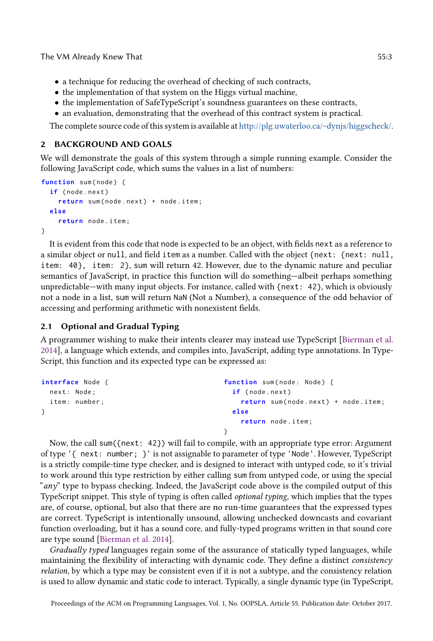The VM Already Knew That **55:3 SEXED SEXED SEXED SEXED SEXED SEXED SEXED SEXED SEXED SEXED SEXED** 

- a technique for reducing the overhead of checking of such contracts,
- the implementation of that system on the Higgs virtual machine,
- the implementation of SafeTypeScript's soundness guarantees on these contracts,
- an evaluation, demonstrating that the overhead of this contract system is practical.

The complete source code of this system is available at [http://plg.uwaterloo.ca/~dynjs/higgscheck/.](http://plg.uwaterloo.ca/~dynjs/higgscheck/)

# 2 BACKGROUND AND GOALS

We will demonstrate the goals of this system through a simple running example. Consider the following JavaScript code, which sums the values in a list of numbers:

```
function sum(node) {
  if (node.next)
    return sum ( node . next ) + node . item ;
  else
    return node . item ;
}
```
It is evident from this code that node is expected to be an object, with fields next as a reference to a similar object or null, and field item as a number. Called with the object {next: {next: null, item: 40}, item: 2}, sum will return 42. However, due to the dynamic nature and peculiar semantics of JavaScript, in practice this function will do something-albeit perhaps something unpredictable—with many input objects. For instance, called with {next: 42}, which is obviously not a node in a list, sum will return NaN (Not a Number), a consequence of the odd behavior of accessing and performing arithmetic with nonexistent fields.

# 2.1 Optional and Gradual Typing

A programmer wishing to make their intents clearer may instead use TypeScript [\[Bierman et al.](#page-25-5) [2014\]](#page-25-5), a language which extends, and compiles into, JavaScript, adding type annotations. In Type-Script, this function and its expected type can be expressed as:

```
interface Node {
  next : Node ;
  item: number;
}
                                                 function sum(node: Node) {
                                                    if (node.next)
                                                      return sum ( node . next ) + node . item ;
                                                    else
                                                      return node . item ;
                                                 }
```
Now, the call sum({next: 42}) will fail to compile, with an appropriate type error: Argument of type '{ next: number; }' is not assignable to parameter of type 'Node'. However, TypeScript is a strictly compile-time type checker, and is designed to interact with untyped code, so it's trivial to work around this type restriction by either calling sum from untyped code, or using the special " $any$ " type to bypass checking. Indeed, the JavaScript code above is the compiled output of this TypeScript snippet. This style of typing is often called optional typing, which implies that the types are, of course, optional, but also that there are no run-time guarantees that the expressed types are correct. TypeScript is intentionally unsound, allowing unchecked downcasts and covariant function overloading, but it has a sound core, and fully-typed programs written in that sound core are type sound [\[Bierman et al. 2014\]](#page-25-5).

Gradually typed languages regain some of the assurance of statically typed languages, while maintaining the flexibility of interacting with dynamic code. They define a distinct consistency relation, by which a type may be consistent even if it is not a subtype, and the consistency relation is used to allow dynamic and static code to interact. Typically, a single dynamic type (in TypeScript,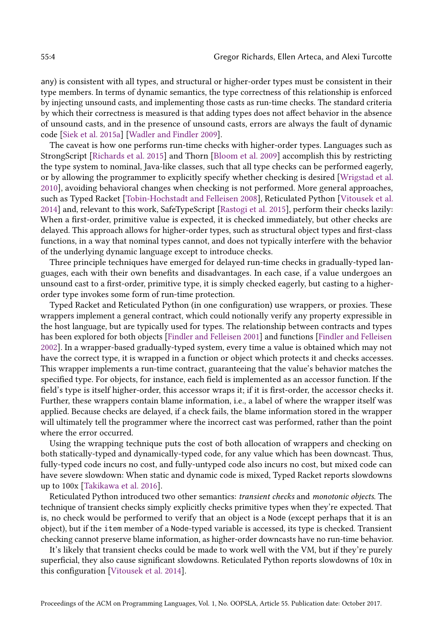any) is consistent with all types, and structural or higher-order types must be consistent in their type members. In terms of dynamic semantics, the type correctness of this relationship is enforced by injecting unsound casts, and implementing those casts as run-time checks. The standard criteria by which their correctness is measured is that adding types does not affect behavior in the absence of unsound casts, and in the presence of unsound casts, errors are always the fault of dynamic code [\[Siek et al. 2015a\]](#page-25-6) [\[Wadler and Findler 2009\]](#page-26-3).

The caveat is how one performs run-time checks with higher-order types. Languages such as StrongScript [\[Richards et al.](#page-25-0) [2015\]](#page-25-0) and Thorn [\[Bloom et al.](#page-25-1) [2009\]](#page-25-1) accomplish this by restricting the type system to nominal, Java-like classes, such that all type checks can be performed eagerly, or by allowing the programmer to explicitly specify whether checking is desired [\[Wrigstad et al.](#page-26-4) [2010\]](#page-26-4), avoiding behavioral changes when checking is not performed. More general approaches, such as Typed Racket [\[Tobin-Hochstadt and Felleisen 2008\]](#page-26-5), Reticulated Python [\[Vitousek et al.](#page-26-2) [2014\]](#page-26-2) and, relevant to this work, SafeTypeScript [\[Rastogi et al.](#page-25-2) [2015\]](#page-25-2), perform their checks lazily: When a first-order, primitive value is expected, it is checked immediately, but other checks are delayed. This approach allows for higher-order types, such as structural object types and first-class functions, in a way that nominal types cannot, and does not typically interfere with the behavior of the underlying dynamic language except to introduce checks.

Three principle techniques have emerged for delayed run-time checks in gradually-typed languages, each with their own benefits and disadvantages. In each case, if a value undergoes an unsound cast to a first-order, primitive type, it is simply checked eagerly, but casting to a higherorder type invokes some form of run-time protection.

Typed Racket and Reticulated Python (in one configuration) use wrappers, or proxies. These wrappers implement a general contract, which could notionally verify any property expressible in the host language, but are typically used for types. The relationship between contracts and types has been explored for both objects [\[Findler and Felleisen 2001\]](#page-25-7) and functions [\[Findler and Felleisen](#page-25-8) [2002\]](#page-25-8). In a wrapper-based gradually-typed system, every time a value is obtained which may not have the correct type, it is wrapped in a function or object which protects it and checks accesses. This wrapper implements a run-time contract, guaranteeing that the value's behavior matches the specified type. For objects, for instance, each field is implemented as an accessor function. If the field's type is itself higher-order, this accessor wraps it; if it is first-order, the accessor checks it. Further, these wrappers contain blame information, i.e., a label of where the wrapper itself was applied. Because checks are delayed, if a check fails, the blame information stored in the wrapper will ultimately tell the programmer where the incorrect cast was performed, rather than the point where the error occurred.

Using the wrapping technique puts the cost of both allocation of wrappers and checking on both statically-typed and dynamically-typed code, for any value which has been downcast. Thus, fully-typed code incurs no cost, and fully-untyped code also incurs no cost, but mixed code can have severe slowdown: When static and dynamic code is mixed, Typed Racket reports slowdowns up to 100x [\[Takikawa et al. 2016\]](#page-26-1).

Reticulated Python introduced two other semantics: transient checks and monotonic objects. The technique of transient checks simply explicitly checks primitive types when they're expected. That is, no check would be performed to verify that an object is a Node (except perhaps that it is an object), but if the item member of a Node-typed variable is accessed, its type is checked. Transient checking cannot preserve blame information, as higher-order downcasts have no run-time behavior.

It's likely that transient checks could be made to work well with the VM, but if they're purely superficial, they also cause significant slowdowns. Reticulated Python reports slowdowns of 10x in this configuration [\[Vitousek et al. 2014\]](#page-26-2).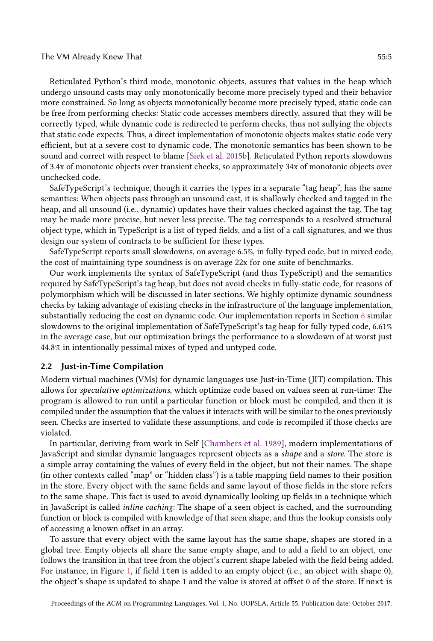#### The VM Already Knew That **55:5**

Reticulated Python's third mode, monotonic objects, assures that values in the heap which undergo unsound casts may only monotonically become more precisely typed and their behavior more constrained. So long as objects monotonically become more precisely typed, static code can be free from performing checks: Static code accesses members directly, assured that they will be correctly typed, while dynamic code is redirected to perform checks, thus not sullying the objects that static code expects. Thus, a direct implementation of monotonic objects makes static code very efficient, but at a severe cost to dynamic code. The monotonic semantics has been shown to be sound and correct with respect to blame [\[Siek et al.](#page-26-6) [2015b\]](#page-26-6). Reticulated Python reports slowdowns of 3.4x of monotonic objects over transient checks, so approximately 34x of monotonic objects over unchecked code.

SafeTypeScript's technique, though it carries the types in a separate "tag heap", has the same semantics: When objects pass through an unsound cast, it is shallowly checked and tagged in the heap, and all unsound (i.e., dynamic) updates have their values checked against the tag. The tag may be made more precise, but never less precise. The tag corresponds to a resolved structural object type, which in TypeScript is a list of typed fields, and a list of a call signatures, and we thus design our system of contracts to be sufficient for these types.

SafeTypeScript reports small slowdowns, on average 6.5%, in fully-typed code, but in mixed code, the cost of maintaining type soundness is on average 22x for one suite of benchmarks.

Our work implements the syntax of SafeTypeScript (and thus TypeScript) and the semantics required by SafeTypeScript's tag heap, but does not avoid checks in fully-static code, for reasons of polymorphism which will be discussed in later sections. We highly optimize dynamic soundness checks by taking advantage of existing checks in the infrastructure of the language implementation, substantially reducing the cost on dynamic code. Our implementation reports in Section [6](#page-19-0) similar slowdowns to the original implementation of SafeTypeScript's tag heap for fully typed code, 6.61% in the average case, but our optimization brings the performance to a slowdown of at worst just 44.8% in intentionally pessimal mixes of typed and untyped code.

## 2.2 Just-in-Time Compilation

Modern virtual machines (VMs) for dynamic languages use Just-in-Time (JIT) compilation. This allows for speculative optimizations, which optimize code based on values seen at run-time: The program is allowed to run until a particular function or block must be compiled, and then it is compiled under the assumption that the values it interacts with will be similar to the ones previously seen. Checks are inserted to validate these assumptions, and code is recompiled if those checks are violated.

In particular, deriving from work in Self [\[Chambers et al.](#page-25-9) [1989\]](#page-25-9), modern implementations of JavaScript and similar dynamic languages represent objects as a shape and a store. The store is a simple array containing the values of every field in the object, but not their names. The shape (in other contexts called "map" or "hidden class") is a table mapping field names to their position in the store. Every object with the same fields and same layout of those fields in the store refers to the same shape. This fact is used to avoid dynamically looking up fields in a technique which in JavaScript is called inline caching: The shape of a seen object is cached, and the surrounding function or block is compiled with knowledge of that seen shape, and thus the lookup consists only of accessing a known offset in an array.

To assure that every object with the same layout has the same shape, shapes are stored in a global tree. Empty objects all share the same empty shape, and to add a field to an object, one follows the transition in that tree from the object's current shape labeled with the field being added. For instance, in Figure [1,](#page-5-0) if field item is added to an empty object (i.e., an object with shape 0), the object's shape is updated to shape 1 and the value is stored at offset 0 of the store. If next is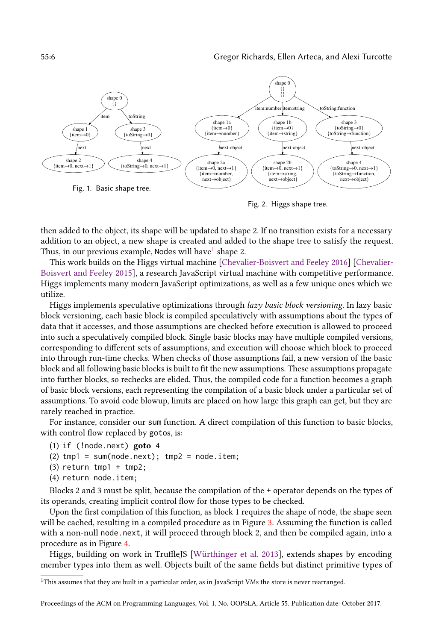<span id="page-5-0"></span>

Fig. 2. Higgs shape tree.

then added to the object, its shape will be updated to shape 2. If no transition exists for a necessary addition to an object, a new shape is created and added to the shape tree to satisfy the request. Thus, in our previous example, Nodes will have $^1$  $^1$  shape 2.

This work builds on the Higgs virtual machine [\[Chevalier-Boisvert and Feeley 2016\]](#page-25-3) [\[Chevalier-](#page-25-4)[Boisvert and Feeley 2015\]](#page-25-4), a research JavaScript virtual machine with competitive performance. Higgs implements many modern JavaScript optimizations, as well as a few unique ones which we utilize.

Higgs implements speculative optimizations through *lazy basic block versioning*. In lazy basic block versioning, each basic block is compiled speculatively with assumptions about the types of data that it accesses, and those assumptions are checked before execution is allowed to proceed into such a speculatively compiled block. Single basic blocks may have multiple compiled versions, corresponding to different sets of assumptions, and execution will choose which block to proceed into through run-time checks. When checks of those assumptions fail, a new version of the basic block and all following basic blocks is built to fit the new assumptions. These assumptions propagate into further blocks, so rechecks are elided. Thus, the compiled code for a function becomes a graph of basic block versions, each representing the compilation of a basic block under a particular set of assumptions. To avoid code blowup, limits are placed on how large this graph can get, but they are rarely reached in practice.

For instance, consider our sum function. A direct compilation of this function to basic blocks, with control flow replaced by gotos, is:

```
(1) if (!node.next) goto 4
```

```
(2) tmp1 = sum(node.next); tmp2 = node.item;
```
- (3) return tmp1 + tmp2;
- (4) return node.item;

Blocks 2 and 3 must be split, because the compilation of the + operator depends on the types of its operands, creating implicit control flow for those types to be checked.

Upon the first compilation of this function, as block 1 requires the shape of node, the shape seen will be cached, resulting in a compiled procedure as in Figure [3.](#page-6-0) Assuming the function is called with a non-null node.next, it will proceed through block 2, and then be compiled again, into a procedure as in Figure [4.](#page-6-0)

Higgs, building on work in TruffleJS [\[Würthinger et al.](#page-26-7) [2013\]](#page-26-7), extends shapes by encoding member types into them as well. Objects built of the same fields but distinct primitive types of

<span id="page-5-1"></span><sup>&</sup>lt;sup>1</sup>This assumes that they are built in a particular order, as in JavaScript VMs the store is never rearranged.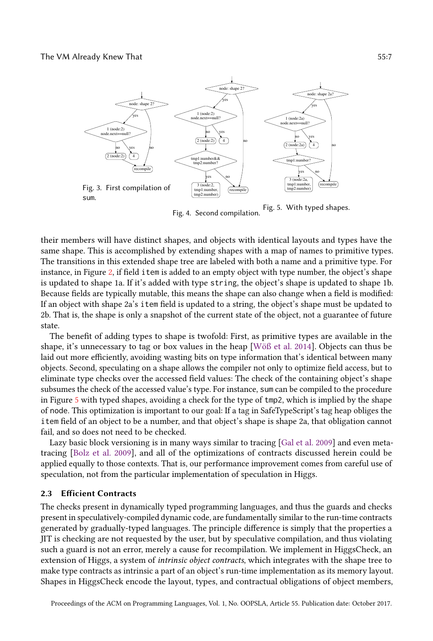<span id="page-6-0"></span>

Fig. 4. Second compilation. Fig. 5. With typed shapes.

their members will have distinct shapes, and objects with identical layouts and types have the same shape. This is accomplished by extending shapes with a map of names to primitive types. The transitions in this extended shape tree are labeled with both a name and a primitive type. For instance, in Figure [2,](#page-5-0) if field item is added to an empty object with type number, the object's shape is updated to shape 1a. If it's added with type string, the object's shape is updated to shape 1b. Because fields are typically mutable, this means the shape can also change when a field is modified: If an object with shape 2a's item field is updated to a string, the object's shape must be updated to 2b. That is, the shape is only a snapshot of the current state of the object, not a guarantee of future state.

The benefit of adding types to shape is twofold: First, as primitive types are available in the shape, it's unnecessary to tag or box values in the heap [\[Wöß et al.](#page-26-8) [2014\]](#page-26-8). Objects can thus be laid out more efficiently, avoiding wasting bits on type information that's identical between many objects. Second, speculating on a shape allows the compiler not only to optimize field access, but to eliminate type checks over the accessed field values: The check of the containing object's shape subsumes the check of the accessed value's type. For instance, sum can be compiled to the procedure in Figure [5](#page-6-0) with typed shapes, avoiding a check for the type of tmp2, which is implied by the shape of node. This optimization is important to our goal: If a tag in SafeTypeScript's tag heap obliges the item field of an object to be a number, and that object's shape is shape 2a, that obligation cannot fail, and so does not need to be checked.

Lazy basic block versioning is in many ways similar to tracing [\[Gal et al.](#page-25-10) [2009\]](#page-25-10) and even metatracing [\[Bolz et al.](#page-25-11) [2009\]](#page-25-11), and all of the optimizations of contracts discussed herein could be applied equally to those contexts. That is, our performance improvement comes from careful use of speculation, not from the particular implementation of speculation in Higgs.

#### 2.3 Efficient Contracts

The checks present in dynamically typed programming languages, and thus the guards and checks present in speculatively-compiled dynamic code, are fundamentally similar to the run-time contracts generated by gradually-typed languages. The principle difference is simply that the properties a JIT is checking are not requested by the user, but by speculative compilation, and thus violating such a guard is not an error, merely a cause for recompilation. We implement in HiggsCheck, an extension of Higgs, a system of intrinsic object contracts, which integrates with the shape tree to make type contracts as intrinsic a part of an object's run-time implementation as its memory layout. Shapes in HiggsCheck encode the layout, types, and contractual obligations of object members,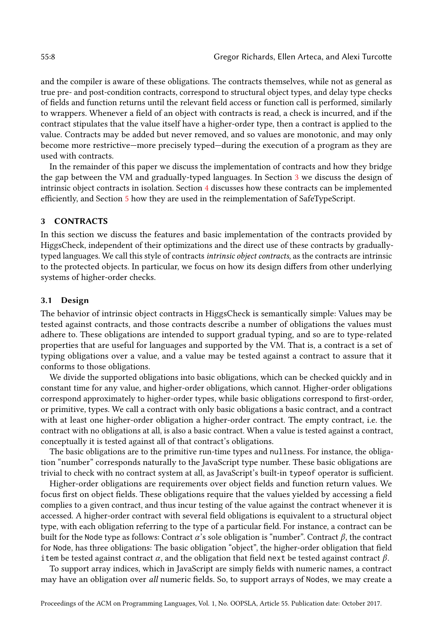and the compiler is aware of these obligations. The contracts themselves, while not as general as true pre- and post-condition contracts, correspond to structural object types, and delay type checks of fields and function returns until the relevant field access or function call is performed, similarly to wrappers. Whenever a field of an object with contracts is read, a check is incurred, and if the contract stipulates that the value itself have a higher-order type, then a contract is applied to the value. Contracts may be added but never removed, and so values are monotonic, and may only become more restrictive–more precisely typed–during the execution of a program as they are used with contracts.

In the remainder of this paper we discuss the implementation of contracts and how they bridge the gap between the VM and gradually-typed languages. In Section [3](#page-7-0) we discuss the design of intrinsic object contracts in isolation. Section [4](#page-9-0) discusses how these contracts can be implemented efficiently, and Section [5](#page-17-0) how they are used in the reimplementation of SafeTypeScript.

### <span id="page-7-0"></span>3 CONTRACTS

In this section we discuss the features and basic implementation of the contracts provided by HiggsCheck, independent of their optimizations and the direct use of these contracts by graduallytyped languages. We call this style of contracts intrinsic object contracts, as the contracts are intrinsic to the protected objects. In particular, we focus on how its design differs from other underlying systems of higher-order checks.

## 3.1 Design

The behavior of intrinsic object contracts in HiggsCheck is semantically simple: Values may be tested against contracts, and those contracts describe a number of obligations the values must adhere to. These obligations are intended to support gradual typing, and so are to type-related properties that are useful for languages and supported by the VM. That is, a contract is a set of typing obligations over a value, and a value may be tested against a contract to assure that it conforms to those obligations.

We divide the supported obligations into basic obligations, which can be checked quickly and in constant time for any value, and higher-order obligations, which cannot. Higher-order obligations correspond approximately to higher-order types, while basic obligations correspond to first-order, or primitive, types. We call a contract with only basic obligations a basic contract, and a contract with at least one higher-order obligation a higher-order contract. The empty contract, i.e. the contract with no obligations at all, is also a basic contract. When a value is tested against a contract, conceptually it is tested against all of that contract's obligations.

The basic obligations are to the primitive run-time types and nullness. For instance, the obligation "number" corresponds naturally to the JavaScript type number. These basic obligations are trivial to check with no contract system at all, as JavaScript's built-in typeof operator is sufficient.

Higher-order obligations are requirements over object fields and function return values. We focus first on object fields. These obligations require that the values yielded by accessing a field complies to a given contract, and thus incur testing of the value against the contract whenever it is accessed. A higher-order contract with several field obligations is equivalent to a structural object type, with each obligation referring to the type of a particular field. For instance, a contract can be built for the Node type as follows: Contract  $\alpha$ 's sole obligation is "number". Contract  $\beta$ , the contract for Node, has three obligations: The basic obligation "object", the higher-order obligation that field item be tested against contract  $\alpha$ , and the obligation that field next be tested against contract  $\beta$ .

To support array indices, which in JavaScript are simply fields with numeric names, a contract may have an obligation over all numeric fields. So, to support arrays of Nodes, we may create a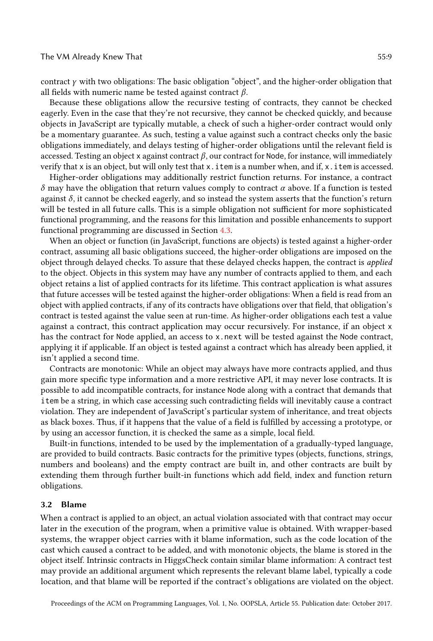contract  $\gamma$  with two obligations: The basic obligation "object", and the higher-order obligation that all fields with numeric name be tested against contract  $\beta$ .

Because these obligations allow the recursive testing of contracts, they cannot be checked eagerly. Even in the case that they're not recursive, they cannot be checked quickly, and because objects in JavaScript are typically mutable, a check of such a higher-order contract would only be a momentary guarantee. As such, testing a value against such a contract checks only the basic obligations immediately, and delays testing of higher-order obligations until the relevant field is accessed. Testing an object x against contract  $\beta$ , our contract for Node, for instance, will immediately verify that x is an object, but will only test that  $x$ . item is a number when, and if,  $x$ . item is accessed.

Higher-order obligations may additionally restrict function returns. For instance, a contract δ may have the obligation that return values comply to contract α above. If a function is tested against  $\delta$ , it cannot be checked eagerly, and so instead the system asserts that the function's return will be tested in all future calls. This is a simple obligation not sufficient for more sophisticated functional programming, and the reasons for this limitation and possible enhancements to support functional programming are discussed in Section [4.3.](#page-17-1)

When an object or function (in JavaScript, functions are objects) is tested against a higher-order contract, assuming all basic obligations succeed, the higher-order obligations are imposed on the object through delayed checks. To assure that these delayed checks happen, the contract is *applied* to the object. Objects in this system may have any number of contracts applied to them, and each object retains a list of applied contracts for its lifetime. This contract application is what assures that future accesses will be tested against the higher-order obligations: When a field is read from an object with applied contracts, if any of its contracts have obligations over that field, that obligation's contract is tested against the value seen at run-time. As higher-order obligations each test a value against a contract, this contract application may occur recursively. For instance, if an object x has the contract for Node applied, an access to x.next will be tested against the Node contract, applying it if applicable. If an object is tested against a contract which has already been applied, it isn't applied a second time.

Contracts are monotonic: While an object may always have more contracts applied, and thus gain more specific type information and a more restrictive API, it may never lose contracts. It is possible to add incompatible contracts, for instance Node along with a contract that demands that item be a string, in which case accessing such contradicting fields will inevitably cause a contract violation. They are independent of JavaScript's particular system of inheritance, and treat objects as black boxes. Thus, if it happens that the value of a field is fulfilled by accessing a prototype, or by using an accessor function, it is checked the same as a simple, local field.

Built-in functions, intended to be used by the implementation of a gradually-typed language, are provided to build contracts. Basic contracts for the primitive types (objects, functions, strings, numbers and booleans) and the empty contract are built in, and other contracts are built by extending them through further built-in functions which add field, index and function return obligations.

# 3.2 Blame

When a contract is applied to an object, an actual violation associated with that contract may occur later in the execution of the program, when a primitive value is obtained. With wrapper-based systems, the wrapper object carries with it blame information, such as the code location of the cast which caused a contract to be added, and with monotonic objects, the blame is stored in the object itself. Intrinsic contracts in HiggsCheck contain similar blame information: A contract test may provide an additional argument which represents the relevant blame label, typically a code location, and that blame will be reported if the contract's obligations are violated on the object.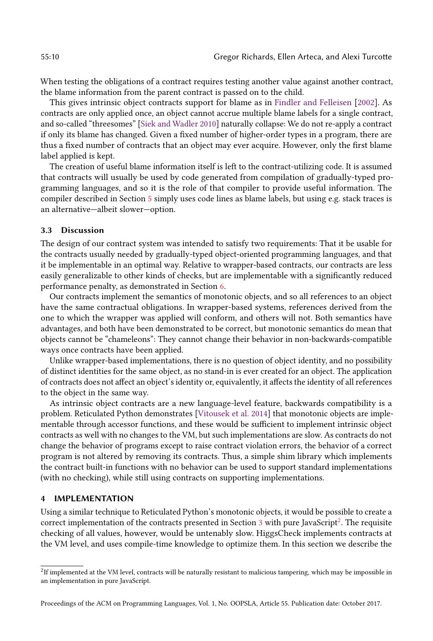When testing the obligations of a contract requires testing another value against another contract, the blame information from the parent contract is passed on to the child.

This gives intrinsic object contracts support for blame as in [Findler and Felleisen](#page-25-8) [\[2002\]](#page-25-8). As contracts are only applied once, an object cannot accrue multiple blame labels for a single contract, and so-called "threesomes" [\[Siek and Wadler 2010\]](#page-26-9) naturally collapse: We do not re-apply a contract if only its blame has changed. Given a fixed number of higher-order types in a program, there are thus a fixed number of contracts that an object may ever acquire. However, only the first blame label applied is kept.

The creation of useful blame information itself is left to the contract-utilizing code. It is assumed that contracts will usually be used by code generated from compilation of gradually-typed programming languages, and so it is the role of that compiler to provide useful information. The compiler described in Section [5](#page-17-0) simply uses code lines as blame labels, but using e.g. stack traces is an alternative-albeit slower-option.

#### 3.3 Discussion

The design of our contract system was intended to satisfy two requirements: That it be usable for the contracts usually needed by gradually-typed object-oriented programming languages, and that it be implementable in an optimal way. Relative to wrapper-based contracts, our contracts are less easily generalizable to other kinds of checks, but are implementable with a significantly reduced performance penalty, as demonstrated in Section [6.](#page-19-0)

Our contracts implement the semantics of monotonic objects, and so all references to an object have the same contractual obligations. In wrapper-based systems, references derived from the one to which the wrapper was applied will conform, and others will not. Both semantics have advantages, and both have been demonstrated to be correct, but monotonic semantics do mean that objects cannot be "chameleons": They cannot change their behavior in non-backwards-compatible ways once contracts have been applied.

Unlike wrapper-based implementations, there is no question of object identity, and no possibility of distinct identities for the same object, as no stand-in is ever created for an object. The application of contracts does not affect an object's identity or, equivalently, it affects the identity of all references to the object in the same way.

As intrinsic object contracts are a new language-level feature, backwards compatibility is a problem. Reticulated Python demonstrates [\[Vitousek et al.](#page-26-2) [2014\]](#page-26-2) that monotonic objects are implementable through accessor functions, and these would be sufficient to implement intrinsic object contracts as well with no changes to the VM, but such implementations are slow. As contracts do not change the behavior of programs except to raise contract violation errors, the behavior of a correct program is not altered by removing its contracts. Thus, a simple shim library which implements the contract built-in functions with no behavior can be used to support standard implementations (with no checking), while still using contracts on supporting implementations.

# <span id="page-9-0"></span>4 IMPLEMENTATION

Using a similar technique to Reticulated Python's monotonic objects, it would be possible to create a correct implementation of the contracts presented in Section [3](#page-7-0) with pure JavaScript<sup>[2](#page-9-1)</sup>. The requisite checking of all values, however, would be untenably slow. HiggsCheck implements contracts at the VM level, and uses compile-time knowledge to optimize them. In this section we describe the

<span id="page-9-1"></span> $^2$ If implemented at the VM level, contracts will be naturally resistant to malicious tampering, which may be impossible in an implementation in pure JavaScript.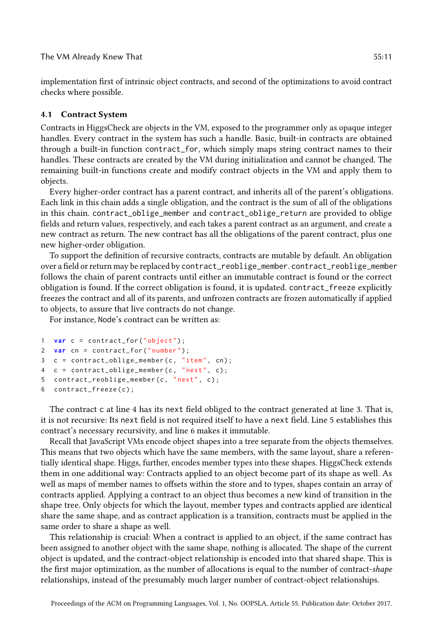implementation first of intrinsic object contracts, and second of the optimizations to avoid contract checks where possible.

#### 4.1 Contract System

Contracts in HiggsCheck are objects in the VM, exposed to the programmer only as opaque integer handles. Every contract in the system has such a handle. Basic, built-in contracts are obtained through a built-in function contract\_for, which simply maps string contract names to their handles. These contracts are created by the VM during initialization and cannot be changed. The remaining built-in functions create and modify contract objects in the VM and apply them to objects.

Every higher-order contract has a parent contract, and inherits all of the parent's obligations. Each link in this chain adds a single obligation, and the contract is the sum of all of the obligations in this chain. contract\_oblige\_member and contract\_oblige\_return are provided to oblige fields and return values, respectively, and each takes a parent contract as an argument, and create a new contract as return. The new contract has all the obligations of the parent contract, plus one new higher-order obligation.

To support the definition of recursive contracts, contracts are mutable by default. An obligation over a field or return may be replaced by contract\_reoblige\_member. contract\_reoblige\_member follows the chain of parent contracts until either an immutable contract is found or the correct obligation is found. If the correct obligation is found, it is updated. contract\_freeze explicitly freezes the contract and all of its parents, and unfrozen contracts are frozen automatically if applied to objects, to assure that live contracts do not change.

For instance, Node's contract can be written as:

```
1 var c = contract_for("object");
2 var cn = contract_for (" number ");
3 c = contract\_oblige\_member(c, "item", cn);4 c = contract_oblige_member (c , " next ", c);
5 contract_reoblige_member (c , " next ", c);
6 contract_freeze (c);
```
The contract c at line 4 has its next field obliged to the contract generated at line 3. That is, it is not recursive: Its next field is not required itself to have a next field. Line 5 establishes this contract's necessary recursivity, and line 6 makes it immutable.

Recall that JavaScript VMs encode object shapes into a tree separate from the objects themselves. This means that two objects which have the same members, with the same layout, share a referentially identical shape. Higgs, further, encodes member types into these shapes. HiggsCheck extends them in one additional way: Contracts applied to an object become part of its shape as well. As well as maps of member names to offsets within the store and to types, shapes contain an array of contracts applied. Applying a contract to an object thus becomes a new kind of transition in the shape tree. Only objects for which the layout, member types and contracts applied are identical share the same shape, and as contract application is a transition, contracts must be applied in the same order to share a shape as well.

This relationship is crucial: When a contract is applied to an object, if the same contract has been assigned to another object with the same shape, nothing is allocated. The shape of the current object is updated, and the contract-object relationship is encoded into that shared shape. This is the first major optimization, as the number of allocations is equal to the number of contract-shape relationships, instead of the presumably much larger number of contract-object relationships.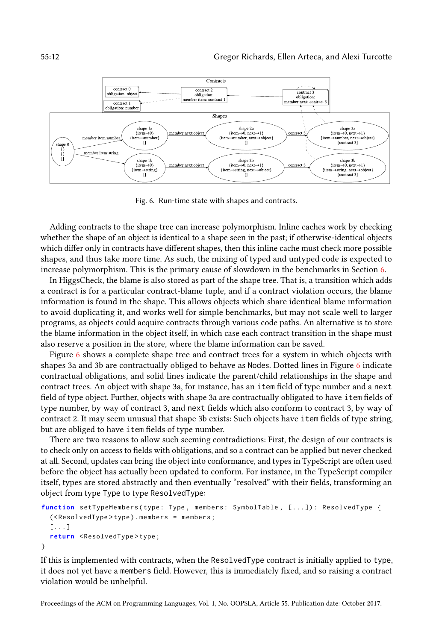<span id="page-11-0"></span>

Fig. 6. Run-time state with shapes and contracts.

Adding contracts to the shape tree can increase polymorphism. Inline caches work by checking whether the shape of an object is identical to a shape seen in the past; if otherwise-identical objects which differ only in contracts have different shapes, then this inline cache must check more possible shapes, and thus take more time. As such, the mixing of typed and untyped code is expected to increase polymorphism. This is the primary cause of slowdown in the benchmarks in Section [6.](#page-19-0)

In HiggsCheck, the blame is also stored as part of the shape tree. That is, a transition which adds a contract is for a particular contract-blame tuple, and if a contract violation occurs, the blame information is found in the shape. This allows objects which share identical blame information to avoid duplicating it, and works well for simple benchmarks, but may not scale well to larger programs, as objects could acquire contracts through various code paths. An alternative is to store the blame information in the object itself, in which case each contract transition in the shape must also reserve a position in the store, where the blame information can be saved.

Figure [6](#page-11-0) shows a complete shape tree and contract trees for a system in which objects with shapes 3a and 3b are contractually obliged to behave as Nodes. Dotted lines in Figure [6](#page-11-0) indicate contractual obligations, and solid lines indicate the parent/child relationships in the shape and contract trees. An object with shape 3a, for instance, has an item field of type number and a next field of type object. Further, objects with shape 3a are contractually obligated to have item fields of type number, by way of contract 3, and next fields which also conform to contract 3, by way of contract 2. It may seem unusual that shape 3b exists: Such objects have item fields of type string, but are obliged to have item fields of type number.

There are two reasons to allow such seeming contradictions: First, the design of our contracts is to check only on access to fields with obligations, and so a contract can be applied but never checked at all. Second, updates can bring the object into conformance, and types in TypeScript are often used before the object has actually been updated to conform. For instance, in the TypeScript compiler itself, types are stored abstractly and then eventually "resolved" with their fields, transforming an object from type Type to type ResolvedType:

```
function setTypeMembers (type: Type, members: SymbolTable, [...]): ResolvedType {
  (< ResolvedType > type ). members = members ;
  [...]
  return < ResolvedType > type ;
}
```
If this is implemented with contracts, when the ResolvedType contract is initially applied to type, it does not yet have a members field. However, this is immediately fixed, and so raising a contract violation would be unhelpful.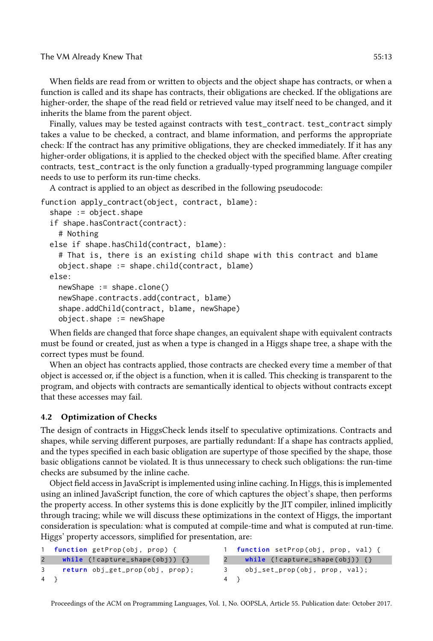The VM Already Knew That 55:13

When fields are read from or written to objects and the object shape has contracts, or when a function is called and its shape has contracts, their obligations are checked. If the obligations are higher-order, the shape of the read field or retrieved value may itself need to be changed, and it inherits the blame from the parent object.

Finally, values may be tested against contracts with test\_contract. test\_contract simply takes a value to be checked, a contract, and blame information, and performs the appropriate check: If the contract has any primitive obligations, they are checked immediately. If it has any higher-order obligations, it is applied to the checked object with the specified blame. After creating contracts, test\_contract is the only function a gradually-typed programming language compiler needs to use to perform its run-time checks.

A contract is applied to an object as described in the following pseudocode:

```
function apply_contract(object, contract, blame):
  shape := object.shape
  if shape.hasContract(contract):
    # Nothing
 else if shape.hasChild(contract, blame):
    # That is, there is an existing child shape with this contract and blame
    object.shape := shape.child(contract, blame)
 else:
    newShape := shape.clone()
    newShape.contracts.add(contract, blame)
    shape.addChild(contract, blame, newShape)
    object.shape := newShape
```
When fields are changed that force shape changes, an equivalent shape with equivalent contracts must be found or created, just as when a type is changed in a Higgs shape tree, a shape with the correct types must be found.

When an object has contracts applied, those contracts are checked every time a member of that object is accessed or, if the object is a function, when it is called. This checking is transparent to the program, and objects with contracts are semantically identical to objects without contracts except that these accesses may fail.

# 4.2 Optimization of Checks

The design of contracts in HiggsCheck lends itself to speculative optimizations. Contracts and shapes, while serving different purposes, are partially redundant: If a shape has contracts applied, and the types specified in each basic obligation are supertype of those specified by the shape, those basic obligations cannot be violated. It is thus unnecessary to check such obligations: the run-time checks are subsumed by the inline cache.

Object field access in JavaScript is implemented using inline caching. In Higgs, this is implemented using an inlined JavaScript function, the core of which captures the object's shape, then performs the property access. In other systems this is done explicitly by the JIT compiler, inlined implicitly through tracing; while we will discuss these optimizations in the context of Higgs, the important consideration is speculation: what is computed at compile-time and what is computed at run-time. Higgs' property accessors, simplified for presentation, are:

| $1 \quad$ | function getProp(obj, prop) {      | 1 <b>function</b> setProp(obj, prop, val) { |  |
|-----------|------------------------------------|---------------------------------------------|--|
|           | while $(!capture\_shape(obj)) { }$ | while (!capture_shape(obj)) {}              |  |
|           | 3 return obj_get_prop(obj, prop);  | obj_set_prop(obj, prop, val);               |  |
|           | 4 }                                | 4 }                                         |  |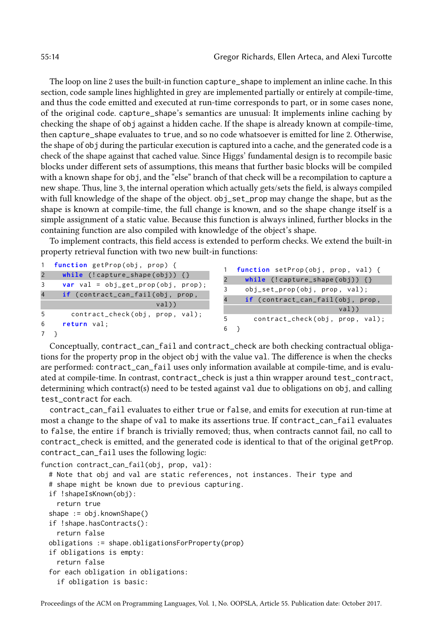The loop on line 2 uses the built-in function capture\_shape to implement an inline cache. In this section, code sample lines highlighted in grey are implemented partially or entirely at compile-time, and thus the code emitted and executed at run-time corresponds to part, or in some cases none, of the original code. capture\_shape's semantics are unusual: It implements inline caching by checking the shape of obj against a hidden cache. If the shape is already known at compile-time, then capture\_shape evaluates to true, and so no code whatsoever is emitted for line 2. Otherwise, the shape of obj during the particular execution is captured into a cache, and the generated code is a check of the shape against that cached value. Since Higgs' fundamental design is to recompile basic blocks under different sets of assumptions, this means that further basic blocks will be compiled with a known shape for obj, and the "else" branch of that check will be a recompilation to capture a new shape. Thus, line 3, the internal operation which actually gets/sets the field, is always compiled with full knowledge of the shape of the object. obj\_set\_prop may change the shape, but as the shape is known at compile-time, the full change is known, and so the shape change itself is a simple assignment of a static value. Because this function is always inlined, further blocks in the containing function are also compiled with knowledge of the object's shape.

To implement contracts, this field access is extended to perform checks. We extend the built-in property retrieval function with two new built-in functions:

|                | 1 function getProp(obj, prop) {          |           | function setProp(obj, prop, val) { |
|----------------|------------------------------------------|-----------|------------------------------------|
| $\overline{2}$ | while $(!capture\_shape(obj)) { }$       |           |                                    |
| 3              | $var$ val = $obj\_get\_prop(obj, prop);$ |           | while $(!capture\_shape(obj)) { }$ |
| $\overline{4}$ |                                          |           | obj_set_prop(obj, prop, val);      |
|                | if (contract_can_fail(obj, prop,<br>val) | $\Lambda$ | if (contract_can_fail(obj, prop,   |
|                |                                          |           | val)                               |
| 5              | contract_check(obj, prop, val);          | 5         | contract_check(obj, prop, val);    |
| 6              | return val;                              | 6 }       |                                    |
|                |                                          |           |                                    |
|                |                                          |           |                                    |

Conceptually, contract\_can\_fail and contract\_check are both checking contractual obligations for the property prop in the object obj with the value val. The difference is when the checks are performed: contract\_can\_fail uses only information available at compile-time, and is evaluated at compile-time. In contrast, contract\_check is just a thin wrapper around test\_contract, determining which contract(s) need to be tested against val due to obligations on obj, and calling test\_contract for each.

contract\_can\_fail evaluates to either true or false, and emits for execution at run-time at most a change to the shape of val to make its assertions true. If contract\_can\_fail evaluates to false, the entire if branch is trivially removed; thus, when contracts cannot fail, no call to contract\_check is emitted, and the generated code is identical to that of the original getProp. contract\_can\_fail uses the following logic:

```
function contract_can_fail(obj, prop, val):
  # Note that obj and val are static references, not instances. Their type and
  # shape might be known due to previous capturing.
  if !shapeIsKnown(obj):
    return true
  shape := obj.knownShape()
  if !shape.hasContracts():
    return false
  obligations := shape.obligationsForProperty(prop)
  if obligations is empty:
    return false
  for each obligation in obligations:
    if obligation is basic:
```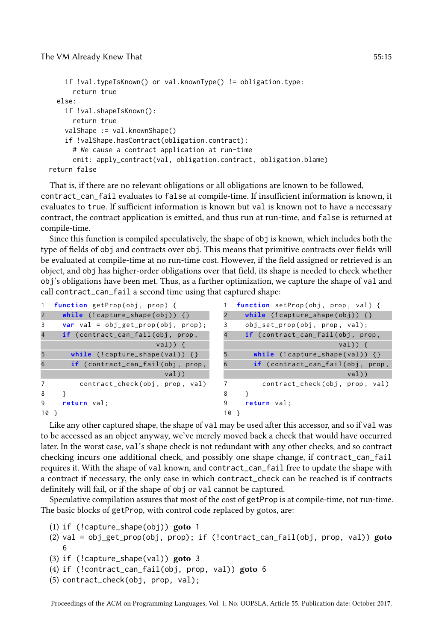```
if !val.typeIsKnown() or val.knownType() != obligation.type:
     return true
 else:
   if !val.shapeIsKnown():
     return true
   valShape := val.knownShape()
    if !valShape.hasContract(obligation.contract):
     # We cause a contract application at run-time
     emit: apply_contract(val, obligation.contract, obligation.blame)
return false
```
That is, if there are no relevant obligations or all obligations are known to be followed, contract\_can\_fail evaluates to false at compile-time. If insufficient information is known, it evaluates to true. If sufficient information is known but val is known not to have a necessary contract, the contract application is emitted, and thus run at run-time, and false is returned at compile-time.

Since this function is compiled speculatively, the shape of obj is known, which includes both the type of fields of obj and contracts over obj. This means that primitive contracts over fields will be evaluated at compile-time at no run-time cost. However, if the field assigned or retrieved is an object, and obj has higher-order obligations over that field, its shape is needed to check whether obj's obligations have been met. Thus, as a further optimization, we capture the shape of val and call contract\_can\_fail a second time using that captured shape:

| $\mathbf{1}$   | function getProp(obj, prop) {                 |                | function setProp(obj, prop, val) { |
|----------------|-----------------------------------------------|----------------|------------------------------------|
| $\overline{2}$ | while $(!capture\_shape(obj))$ {}             | 2              | while $(!capture\_shape(obj)) { }$ |
| 3              | <b>var</b> val = $obj\_get\_prop(obj, prop);$ | 3              | obj_set_prop(obj, prop, val);      |
| $\overline{4}$ | if (contract_can_fail(obj, prop,              | $\overline{4}$ | if (contract_can_fail(obj, prop,   |
|                | $val)$ {                                      |                | $val)$ {                           |
| 5              | while $(!capture\_shape(val)) { }$            | 5              | while $(!capture\_shape(val)) { }$ |
| 6              | if (contract_can_fail(obj, prop,              |                | if (contract_can_fail(obj, prop,   |
|                | val)                                          |                | val)                               |
| 7              | contract_check(obj, prop, val)                | 7              | contract_check(obj, prop, val)     |
| 8              |                                               | 8              |                                    |
| 9              | return val:                                   | 9              | return val:                        |
| 10             |                                               | $10$ }         |                                    |

Like any other captured shape, the shape of val may be used after this accessor, and so if val was to be accessed as an object anyway, we've merely moved back a check that would have occurred later. In the worst case, val's shape check is not redundant with any other checks, and so contract checking incurs one additional check, and possibly one shape change, if contract\_can\_fail requires it. With the shape of val known, and contract\_can\_fail free to update the shape with a contract if necessary, the only case in which contract\_check can be reached is if contracts definitely will fail, or if the shape of obj or val cannot be captured.

Speculative compilation assures that most of the cost of getProp is at compile-time, not run-time. The basic blocks of getProp, with control code replaced by gotos, are:

- (1) if (!capture\_shape(obj)) goto 1
- (2) val = obj\_get\_prop(obj, prop); if (!contract\_can\_fail(obj, prop, val)) goto 6
- (3) if (!capture\_shape(val)) goto 3
- (4) if (!contract\_can\_fail(obj, prop, val)) goto 6
- (5) contract\_check(obj, prop, val);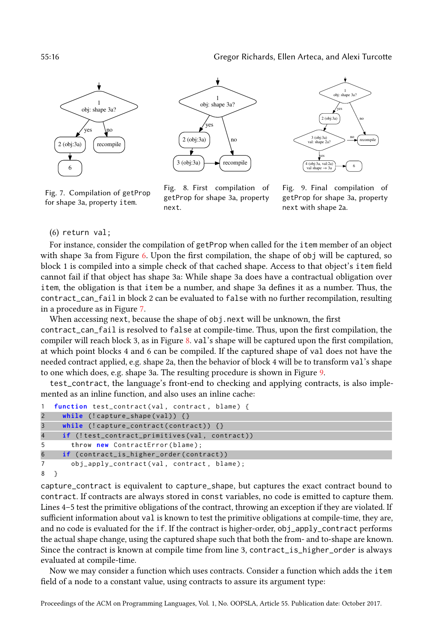<span id="page-15-0"></span>

Fig. 7. Compilation of getProp for shape 3a, property item.



Fig. 8. First compilation of getProp for shape 3a, property next.



Fig. 9. Final compilation of getProp for shape 3a, property next with shape 2a.

(6) return val;

For instance, consider the compilation of getProp when called for the item member of an object with shape 3a from Figure [6.](#page-11-0) Upon the first compilation, the shape of obj will be captured, so block 1 is compiled into a simple check of that cached shape. Access to that object's item field cannot fail if that object has shape 3a: While shape 3a does have a contractual obligation over item, the obligation is that item be a number, and shape 3a defines it as a number. Thus, the contract\_can\_fail in block 2 can be evaluated to false with no further recompilation, resulting in a procedure as in Figure [7.](#page-15-0)

When accessing next, because the shape of obj.next will be unknown, the first contract\_can\_fail is resolved to false at compile-time. Thus, upon the first compilation, the compiler will reach block 3, as in Figure [8.](#page-15-0) val's shape will be captured upon the first compilation, at which point blocks 4 and 6 can be compiled. If the captured shape of val does not have the needed contract applied, e.g. shape 2a, then the behavior of block 4 will be to transform val's shape to one which does, e.g. shape 3a. The resulting procedure is shown in Figure [9.](#page-15-0)

test\_contract, the language's front-end to checking and applying contracts, is also implemented as an inline function, and also uses an inline cache:

```
1 function test_contract(val, contract, blame) {
2 while (!capture_shape(val)) {}
3 while (! capture_contract ( contract )) {}
4 if (!test_contract_primitives (val, contract))
5 throw new ContractError (blame);
6 if ( contract_is_higher_order ( contract ))
7 obj_apply_contract(val, contract, blame);
8 }
```
capture\_contract is equivalent to capture\_shape, but captures the exact contract bound to contract. If contracts are always stored in const variables, no code is emitted to capture them. Lines 4–5 test the primitive obligations of the contract, throwing an exception if they are violated. If sufficient information about val is known to test the primitive obligations at compile-time, they are, and no code is evaluated for the if. If the contract is higher-order,  $obj\_apply\_contract$  performs the actual shape change, using the captured shape such that both the from- and to-shape are known. Since the contract is known at compile time from line 3, contract\_is\_higher\_order is always evaluated at compile-time.

Now we may consider a function which uses contracts. Consider a function which adds the item field of a node to a constant value, using contracts to assure its argument type: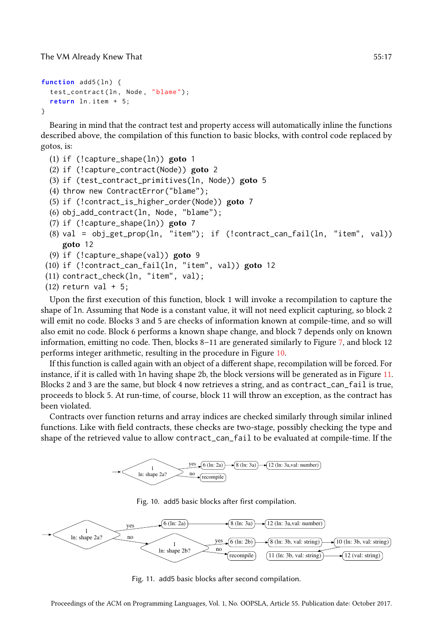The VM Already Knew That 55:17

```
function add5(ln) {
  test_contract (ln , Node , " blame ");
  return ln . item + 5;
}
```
Bearing in mind that the contract test and property access will automatically inline the functions described above, the compilation of this function to basic blocks, with control code replaced by gotos, is:

```
(1) if (!capture_shape(ln)) goto 1
(2) if (!capture_contract(Node)) goto 2
(3) if (test_contract_primitives(ln, Node)) goto 5
(4) throw new ContractError("blame");
(5) if (!contract_is_higher_order(Node)) goto 7
(6) obj_add_contract(ln, Node, "blame");
(7) if (!capture_shape(ln)) goto 7
(8) val = obj_get_prop(ln, "item"); if (!contract_can_fail(ln, "item", val))
    goto 12
(9) if (!capture_shape(val)) goto 9
(10) if (!contract_can_fail(ln, "item", val)) goto 12
(11) contract_check(ln, "item", val);
(12) return val + 5;
```
Upon the first execution of this function, block 1 will invoke a recompilation to capture the shape of ln. Assuming that Node is a constant value, it will not need explicit capturing, so block 2 will emit no code. Blocks 3 and 5 are checks of information known at compile-time, and so will also emit no code. Block 6 performs a known shape change, and block 7 depends only on known information, emitting no code. Then, blocks 8-11 are generated similarly to Figure [7,](#page-15-0) and block 12 performs integer arithmetic, resulting in the procedure in Figure [10.](#page-16-0)

If this function is called again with an object of a different shape, recompilation will be forced. For instance, if it is called with ln having shape 2b, the block versions will be generated as in Figure [11.](#page-16-1) Blocks 2 and 3 are the same, but block 4 now retrieves a string, and as contract\_can\_fail is true, proceeds to block 5. At run-time, of course, block 11 will throw an exception, as the contract has been violated.

<span id="page-16-0"></span>Contracts over function returns and array indices are checked similarly through similar inlined functions. Like with field contracts, these checks are two-stage, possibly checking the type and shape of the retrieved value to allow contract\_can\_fail to be evaluated at compile-time. If the



Fig. 10. add5 basic blocks after first compilation.

<span id="page-16-1"></span>

Fig. 11. add5 basic blocks after second compilation.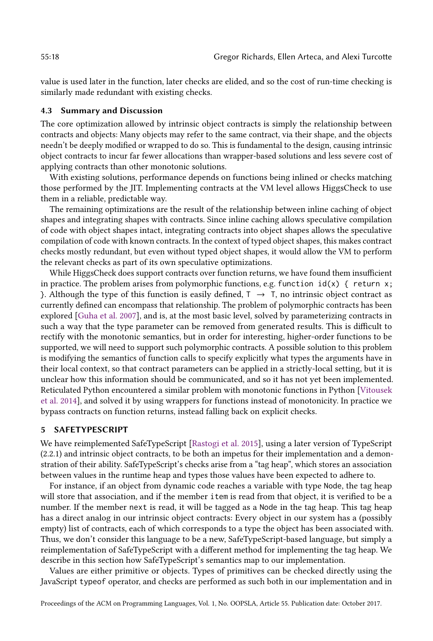value is used later in the function, later checks are elided, and so the cost of run-time checking is similarly made redundant with existing checks.

### <span id="page-17-1"></span>4.3 Summary and Discussion

The core optimization allowed by intrinsic object contracts is simply the relationship between contracts and objects: Many objects may refer to the same contract, via their shape, and the objects needn't be deeply modified or wrapped to do so. This is fundamental to the design, causing intrinsic object contracts to incur far fewer allocations than wrapper-based solutions and less severe cost of applying contracts than other monotonic solutions.

With existing solutions, performance depends on functions being inlined or checks matching those performed by the JIT. Implementing contracts at the VM level allows HiggsCheck to use them in a reliable, predictable way.

The remaining optimizations are the result of the relationship between inline caching of object shapes and integrating shapes with contracts. Since inline caching allows speculative compilation of code with object shapes intact, integrating contracts into object shapes allows the speculative compilation of code with known contracts. In the context of typed object shapes, this makes contract checks mostly redundant, but even without typed object shapes, it would allow the VM to perform the relevant checks as part of its own speculative optimizations.

While HiggsCheck does support contracts over function returns, we have found them insufficient in practice. The problem arises from polymorphic functions, e.g. function  $id(x) \{$  return x; }. Although the type of this function is easily defined,  $T \rightarrow T$ , no intrinsic object contract as currently defined can encompass that relationship. The problem of polymorphic contracts has been explored [\[Guha et al.](#page-25-12) [2007\]](#page-25-12), and is, at the most basic level, solved by parameterizing contracts in such a way that the type parameter can be removed from generated results. This is difficult to rectify with the monotonic semantics, but in order for interesting, higher-order functions to be supported, we will need to support such polymorphic contracts. A possible solution to this problem is modifying the semantics of function calls to specify explicitly what types the arguments have in their local context, so that contract parameters can be applied in a strictly-local setting, but it is unclear how this information should be communicated, and so it has not yet been implemented. Reticulated Python encountered a similar problem with monotonic functions in Python [\[Vitousek](#page-26-2) [et al.](#page-26-2) [2014\]](#page-26-2), and solved it by using wrappers for functions instead of monotonicity. In practice we bypass contracts on function returns, instead falling back on explicit checks.

#### <span id="page-17-0"></span>5 SAFETYPESCRIPT

We have reimplemented SafeTypeScript [\[Rastogi et al.](#page-25-2) [2015\]](#page-25-2), using a later version of TypeScript (2.2.1) and intrinsic object contracts, to be both an impetus for their implementation and a demonstration of their ability. SafeTypeScript's checks arise from a "tag heap", which stores an association between values in the runtime heap and types those values have been expected to adhere to.

For instance, if an object from dynamic code reaches a variable with type Node, the tag heap will store that association, and if the member item is read from that object, it is verified to be a number. If the member next is read, it will be tagged as a Node in the tag heap. This tag heap has a direct analog in our intrinsic object contracts: Every object in our system has a (possibly empty) list of contracts, each of which corresponds to a type the object has been associated with. Thus, we don't consider this language to be a new, SafeTypeScript-based language, but simply a reimplementation of SafeTypeScript with a different method for implementing the tag heap. We describe in this section how SafeTypeScript's semantics map to our implementation.

Values are either primitive or objects. Types of primitives can be checked directly using the JavaScript typeof operator, and checks are performed as such both in our implementation and in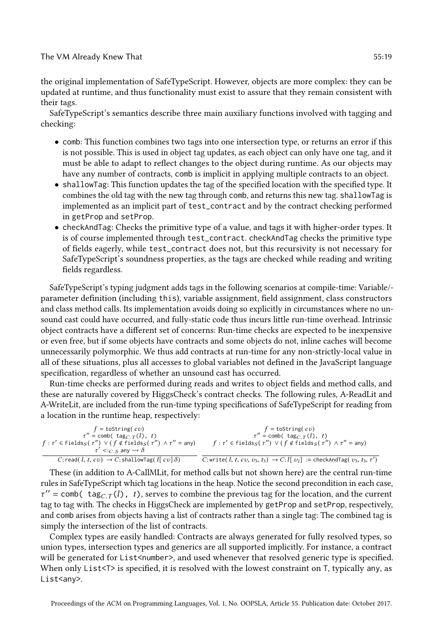#### The VM Already Knew That 55:19

the original implementation of SafeTypeScript. However, objects are more complex: they can be updated at runtime, and thus functionality must exist to assure that they remain consistent with their tags.

SafeTypeScript's semantics describe three main auxiliary functions involved with tagging and checking:

- comb: This function combines two tags into one intersection type, or returns an error if this is not possible. This is used in object tag updates, as each object can only have one tag, and it must be able to adapt to reflect changes to the object during runtime. As our objects may have any number of contracts, comb is implicit in applying multiple contracts to an object.
- shallowTag: This function updates the tag of the specified location with the specified type. It combines the old tag with the new tag through comb, and returns this new tag. shallowTag is implemented as an implicit part of test\_contract and by the contract checking performed in getProp and setProp.
- checkAndTag: Checks the primitive type of a value, and tags it with higher-order types. It is of course implemented through test\_contract. checkAndTag checks the primitive type of fields eagerly, while test\_contract does not, but this recursivity is not necessary for SafeTypeScript's soundness properties, as the tags are checked while reading and writing fields regardless.

SafeTypeScript's typing judgment adds tags in the following scenarios at compile-time: Variable/ parameter definition (including this), variable assignment, field assignment, class constructors and class method calls. Its implementation avoids doing so explicitly in circumstances where no unsound cast could have occurred, and fully-static code thus incurs little run-time overhead. Intrinsic object contracts have a different set of concerns: Run-time checks are expected to be inexpensive or even free, but if some objects have contracts and some objects do not, inline caches will become unnecessarily polymorphic. We thus add contracts at run-time for any non-strictly-local value in all of these situations, plus all accesses to global variables not defined in the JavaScript language specification, regardless of whether an unsound cast has occurred.

Run-time checks are performed during reads and writes to object fields and method calls, and these are naturally covered by HiggsCheck's contract checks. The following rules, A-ReadLit and A-WriteLit, are included from the run-time typing specifications of SafeTypeScript for reading from a location in the runtime heap, respectively:

| $f =$ toString(cv)<br>$\tau'' = \text{comb}(\text{tag}_{C,T}(l), t)$<br>$f: \tau' \in \text{fields}_{S}(\tau'') \lor (f \notin \text{fields}_{S}(\tau'') \land \tau'' = \text{any})$<br>$\tau' \lt :_{C}$ s any $\leadsto \delta$ | $f =$ to String $cv$ )<br>$\tau'' = \text{comb}(\text{tag}_{C,T}(l), t)$<br>$f: \tau' \in \text{fields}_{S}(\tau'') \lor (f \notin \text{fields}_{S}(\tau'') \land \tau'' = \text{any})$ |
|-----------------------------------------------------------------------------------------------------------------------------------------------------------------------------------------------------------------------------------|------------------------------------------------------------------------------------------------------------------------------------------------------------------------------------------|
| C; read(l, t, cv) $\rightarrow$ C; shallowTag(l[cv] $\delta$ )                                                                                                                                                                    | C; write(l, t, cv, $v_3$ , $t_3$ ) $\rightarrow$ C; l[v <sub>2</sub> ] := checkAndTag(v <sub>3</sub> , $t_3$ , $\tau'$ )                                                                 |

These (in addition to A-CallMLit, for method calls but not shown here) are the central run-time rules in SafeTypeScript which tag locations in the heap. Notice the second precondition in each case,  $\tau'' =$  comb( tag<sub>C.T</sub>(l), t), serves to combine the previous tag for the location, and the current tag to tag with. The checks in HiggsCheck are implemented by getProp and setProp, respectively, and comb arises from objects having a list of contracts rather than a single tag: The combined tag is simply the intersection of the list of contracts.

Complex types are easily handled: Contracts are always generated for fully resolved types, so union types, intersection types and generics are all supported implicitly. For instance, a contract will be generated for List<number>, and used whenever that resolved generic type is specified. When only List<T> is specified, it is resolved with the lowest constraint on T, typically any, as List<any>.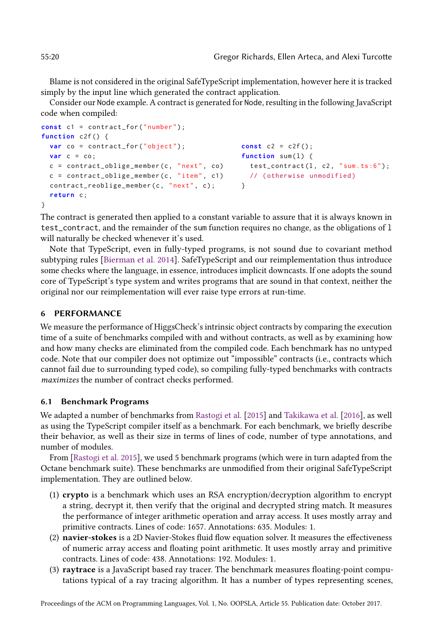Blame is not considered in the original SafeTypeScript implementation, however here it is tracked simply by the input line which generated the contract application.

Consider our Node example. A contract is generated for Node, resulting in the following JavaScript code when compiled:

```
const c1 = contract_for ("number");
function c2f () {
  var co = contract_for ("object");
  var c = co;
  c = contract\_oblige\_member(c, "next", co)c = contract\_oblige\_member(c, "item", c1)contract_reoblige_member(c, "next", c);
  return c;
}
                                                 const c2 = c2f();
                                                 function sum(1) {
                                                   test\_contract(1, c2, "sum. ts:6");// ( otherwise unmodified )
                                                 }
```
The contract is generated then applied to a constant variable to assure that it is always known in test\_contract, and the remainder of the sum function requires no change, as the obligations of l will naturally be checked whenever it's used.

Note that TypeScript, even in fully-typed programs, is not sound due to covariant method subtyping rules [\[Bierman et al.](#page-25-5) [2014\]](#page-25-5). SafeTypeScript and our reimplementation thus introduce some checks where the language, in essence, introduces implicit downcasts. If one adopts the sound core of TypeScript's type system and writes programs that are sound in that context, neither the original nor our reimplementation will ever raise type errors at run-time.

# <span id="page-19-0"></span>6 PERFORMANCE

We measure the performance of HiggsCheck's intrinsic object contracts by comparing the execution time of a suite of benchmarks compiled with and without contracts, as well as by examining how and how many checks are eliminated from the compiled code. Each benchmark has no untyped code. Note that our compiler does not optimize out "impossible" contracts (i.e., contracts which cannot fail due to surrounding typed code), so compiling fully-typed benchmarks with contracts maximizes the number of contract checks performed.

## 6.1 Benchmark Programs

We adapted a number of benchmarks from [Rastogi et al.](#page-25-2) [\[2015\]](#page-25-2) and [Takikawa et al.](#page-26-1) [\[2016\]](#page-26-1), as well as using the TypeScript compiler itself as a benchmark. For each benchmark, we briefly describe their behavior, as well as their size in terms of lines of code, number of type annotations, and number of modules.

From [\[Rastogi et al.](#page-25-2) [2015\]](#page-25-2), we used 5 benchmark programs (which were in turn adapted from the Octane benchmark suite). These benchmarks are unmodified from their original SafeTypeScript implementation. They are outlined below.

- (1) crypto is a benchmark which uses an RSA encryption/decryption algorithm to encrypt a string, decrypt it, then verify that the original and decrypted string match. It measures the performance of integer arithmetic operation and array access. It uses mostly array and primitive contracts. Lines of code: 1657. Annotations: 635. Modules: 1.
- (2) navier-stokes is a 2D Navier-Stokes fluid flow equation solver. It measures the effectiveness of numeric array access and floating point arithmetic. It uses mostly array and primitive contracts. Lines of code: 438. Annotations: 192. Modules: 1.
- (3) raytrace is a JavaScript based ray tracer. The benchmark measures floating-point computations typical of a ray tracing algorithm. It has a number of types representing scenes,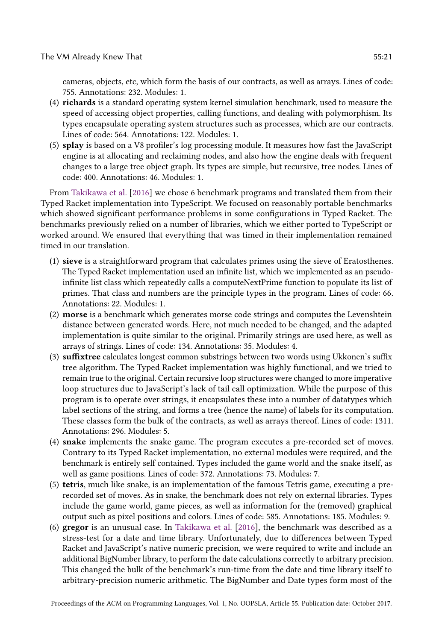cameras, objects, etc, which form the basis of our contracts, as well as arrays. Lines of code: 755. Annotations: 232. Modules: 1.

- (4) richards is a standard operating system kernel simulation benchmark, used to measure the speed of accessing object properties, calling functions, and dealing with polymorphism. Its types encapsulate operating system structures such as processes, which are our contracts. Lines of code: 564. Annotations: 122. Modules: 1.
- (5) splay is based on a V8 profiler's log processing module. It measures how fast the JavaScript engine is at allocating and reclaiming nodes, and also how the engine deals with frequent changes to a large tree object graph. Its types are simple, but recursive, tree nodes. Lines of code: 400. Annotations: 46. Modules: 1.

From [Takikawa et al.](#page-26-1) [\[2016\]](#page-26-1) we chose 6 benchmark programs and translated them from their Typed Racket implementation into TypeScript. We focused on reasonably portable benchmarks which showed significant performance problems in some configurations in Typed Racket. The benchmarks previously relied on a number of libraries, which we either ported to TypeScript or worked around. We ensured that everything that was timed in their implementation remained timed in our translation.

- (1) sieve is a straightforward program that calculates primes using the sieve of Eratosthenes. The Typed Racket implementation used an infinite list, which we implemented as an pseudoinfinite list class which repeatedly calls a computeNextPrime function to populate its list of primes. That class and numbers are the principle types in the program. Lines of code: 66. Annotations: 22. Modules: 1.
- (2) morse is a benchmark which generates morse code strings and computes the Levenshtein distance between generated words. Here, not much needed to be changed, and the adapted implementation is quite similar to the original. Primarily strings are used here, as well as arrays of strings. Lines of code: 134. Annotations: 35. Modules: 4.
- (3) suffixtree calculates longest common substrings between two words using Ukkonen's suffix tree algorithm. The Typed Racket implementation was highly functional, and we tried to remain true to the original. Certain recursive loop structures were changed to more imperative loop structures due to JavaScript's lack of tail call optimization. While the purpose of this program is to operate over strings, it encapsulates these into a number of datatypes which label sections of the string, and forms a tree (hence the name) of labels for its computation. These classes form the bulk of the contracts, as well as arrays thereof. Lines of code: 1311. Annotations: 296. Modules: 5.
- (4) snake implements the snake game. The program executes a pre-recorded set of moves. Contrary to its Typed Racket implementation, no external modules were required, and the benchmark is entirely self contained. Types included the game world and the snake itself, as well as game positions. Lines of code: 372. Annotations: 73. Modules: 7.
- (5) tetris, much like snake, is an implementation of the famous Tetris game, executing a prerecorded set of moves. As in snake, the benchmark does not rely on external libraries. Types include the game world, game pieces, as well as information for the (removed) graphical output such as pixel positions and colors. Lines of code: 585. Annotations: 185. Modules: 9.
- (6) gregor is an unusual case. In [Takikawa et al.](#page-26-1) [\[2016\]](#page-26-1), the benchmark was described as a stress-test for a date and time library. Unfortunately, due to differences between Typed Racket and JavaScript's native numeric precision, we were required to write and include an additional BigNumber library, to perform the date calculations correctly to arbitrary precision. This changed the bulk of the benchmark's run-time from the date and time library itself to arbitrary-precision numeric arithmetic. The BigNumber and Date types form most of the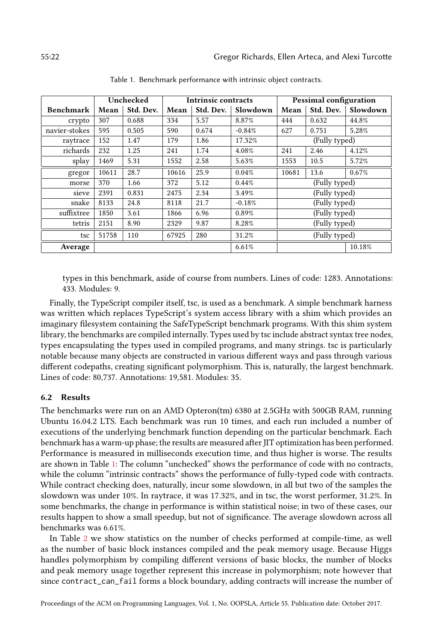<span id="page-21-0"></span>

|                  | Unchecked   |           | <b>Intrinsic contracts</b> |           |          | <b>Pessimal configuration</b> |           |          |
|------------------|-------------|-----------|----------------------------|-----------|----------|-------------------------------|-----------|----------|
| <b>Benchmark</b> | Mean        | Std. Dev. | Mean                       | Std. Dev. | Slowdown | Mean                          | Std. Dev. | Slowdown |
| crypto           | 307         | 0.688     | 334                        | 5.57      | 8.87%    | 444                           | 0.632     | 44.8%    |
| navier-stokes    | 595         | 0.505     | 590                        | 0.674     | $-0.84%$ | 627                           | 0.751     | 5.28%    |
| raytrace         | 152<br>1.47 |           | 179                        | 1.86      | 17.32%   | (Fully typed)                 |           |          |
| richards         | 232         | 1.25      | 241                        | 1.74      | 4.08%    | 241                           | 2.46      | 4.12%    |
| splay            | 1469        | 5.31      | 1552                       | 2.58      | 5.63%    | 1553                          | 10.5      | 5.72%    |
| gregor           | 10611       | 28.7      | 10616                      | 25.9      | 0.04%    | 10681                         | 13.6      | 0.67%    |
| morse            | 370         | 1.66      | 372                        | 5.12      | 0.44%    | (Fully typed)                 |           |          |
| sieve            | 2391        | 0.831     | 2475                       | 2.34      | 3.49%    | (Fully typed)                 |           |          |
| snake            | 8133        | 24.8      | 8118                       | 21.7      | $-0.18%$ | (Fully typed)                 |           |          |
| suffixtree       | 1850        | 3.61      | 1866                       | 6.96      | 0.89%    | (Fully typed)                 |           |          |
| tetris           | 2151        | 8.90      | 2329                       | 9.87      | 8.28%    | (Fully typed)                 |           |          |
| tsc              | 51758       | 110       | 67925                      | 280       | 31.2%    | (Fully typed)                 |           |          |
| Average          |             |           |                            |           | 6.61%    |                               |           | 10.18%   |

Table 1. Benchmark performance with intrinsic object contracts.

types in this benchmark, aside of course from numbers. Lines of code: 1283. Annotations: 433. Modules: 9.

Finally, the TypeScript compiler itself, tsc, is used as a benchmark. A simple benchmark harness was written which replaces TypeScript's system access library with a shim which provides an imaginary filesystem containing the SafeTypeScript benchmark programs. With this shim system library, the benchmarks are compiled internally. Types used by tsc include abstract syntax tree nodes, types encapsulating the types used in compiled programs, and many strings. tsc is particularly notable because many objects are constructed in various different ways and pass through various different codepaths, creating significant polymorphism. This is, naturally, the largest benchmark. Lines of code: 80,737. Annotations: 19,581. Modules: 35.

#### 6.2 Results

The benchmarks were run on an AMD Opteron(tm) 6380 at 2.5GHz with 500GB RAM, running Ubuntu 16.04.2 LTS. Each benchmark was run 10 times, and each run included a number of executions of the underlying benchmark function depending on the particular benchmark. Each benchmark has a warm-up phase; the results are measured after JIT optimization has been performed. Performance is measured in milliseconds execution time, and thus higher is worse. The results are shown in Table [1:](#page-21-0) The column "unchecked" shows the performance of code with no contracts, while the column "intrinsic contracts" shows the performance of fully-typed code with contracts. While contract checking does, naturally, incur some slowdown, in all but two of the samples the slowdown was under 10%. In raytrace, it was 17.32%, and in tsc, the worst performer, 31.2%. In some benchmarks, the change in performance is within statistical noise; in two of these cases, our results happen to show a small speedup, but not of significance. The average slowdown across all benchmarks was 6.61%.

In Table [2](#page-22-0) we show statistics on the number of checks performed at compile-time, as well as the number of basic block instances compiled and the peak memory usage. Because Higgs handles polymorphism by compiling different versions of basic blocks, the number of blocks and peak memory usage together represent this increase in polymorphism; note however that since contract\_can\_fail forms a block boundary, adding contracts will increase the number of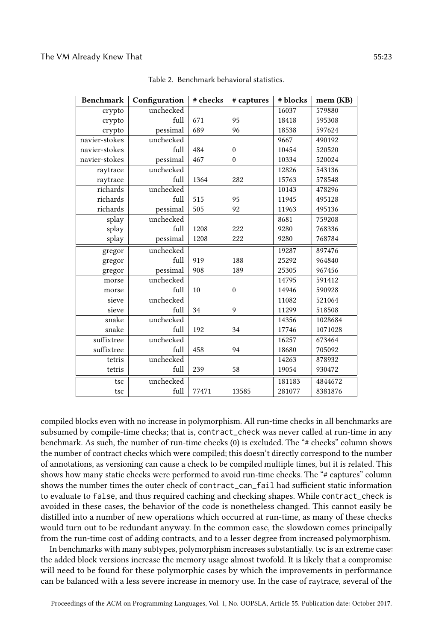<span id="page-22-0"></span>

| <b>Benchmark</b> | Configuration           | # checks            | # captures   | # blocks | mem (KB) |
|------------------|-------------------------|---------------------|--------------|----------|----------|
| crypto           | unchecked               |                     |              | 16037    | 579880   |
| crypto           | full                    | 671<br>95           |              | 18418    | 595308   |
| crypto           | pessimal                | 689<br>96           |              | 18538    | 597624   |
| navier-stokes    | unchecked               |                     |              | 9667     | 490192   |
| navier-stokes    | full                    | 484                 | $\mathbf{0}$ | 10454    | 520520   |
| navier-stokes    | pessimal                | 467<br>$\mathbf{0}$ |              | 10334    | 520024   |
| raytrace         | unchecked               |                     |              | 12826    | 543136   |
| raytrace         | full                    | 1364                | 282          | 15763    | 578548   |
| richards         | unchecked               |                     |              | 10143    | 478296   |
| richards         | full                    | 515<br>95           |              | 11945    | 495128   |
| richards         | pessimal                | 505<br>92           |              | 11963    | 495136   |
| splay            | unchecked               |                     |              | 8681     | 759208   |
| splay            | full                    | 1208                | 222          | 9280     | 768336   |
| splay            | 1208<br>222<br>pessimal |                     |              | 9280     | 768784   |
| gregor           | unchecked               |                     |              | 19287    | 897476   |
| gregor           | full                    | 919                 | 188          | 25292    | 964840   |
| gregor           | pessimal                | 908                 | 189          | 25305    | 967456   |
| morse            | unchecked               |                     |              | 14795    | 591412   |
| morse            | full                    | 10                  | $\mathbf{0}$ | 14946    | 590928   |
| sieve            | unchecked               |                     |              | 11082    | 521064   |
| sieve            | full                    | 34                  | 9            | 11299    | 518508   |
| snake            | unchecked               |                     |              | 14356    | 1028684  |
| snake            | full                    | 192                 | 34           | 17746    | 1071028  |
| suffixtree       | unchecked               |                     |              | 16257    | 673464   |
| suffixtree       | full                    | 458                 | 94           | 18680    | 705092   |
| tetris           | unchecked               |                     |              | 14263    | 878932   |
| tetris           | full                    | 239                 | 58           | 19054    | 930472   |
| tsc              | unchecked               |                     |              | 181183   | 4844672  |
| tsc              | full                    | 77471               | 13585        | 281077   | 8381876  |

Table 2. Benchmark behavioral statistics.

compiled blocks even with no increase in polymorphism. All run-time checks in all benchmarks are subsumed by compile-time checks; that is, contract\_check was never called at run-time in any benchmark. As such, the number of run-time checks  $(0)$  is excluded. The "# checks" column shows the number of contract checks which were compiled; this doesn't directly correspond to the number of annotations, as versioning can cause a check to be compiled multiple times, but it is related. This shows how many static checks were performed to avoid run-time checks. The "# captures" column shows the number times the outer check of contract\_can\_fail had sufficient static information to evaluate to false, and thus required caching and checking shapes. While contract\_check is avoided in these cases, the behavior of the code is nonetheless changed. This cannot easily be distilled into a number of new operations which occurred at run-time, as many of these checks would turn out to be redundant anyway. In the common case, the slowdown comes principally from the run-time cost of adding contracts, and to a lesser degree from increased polymorphism.

In benchmarks with many subtypes, polymorphism increases substantially. tsc is an extreme case: the added block versions increase the memory usage almost twofold. It is likely that a compromise will need to be found for these polymorphic cases by which the improvements in performance can be balanced with a less severe increase in memory use. In the case of raytrace, several of the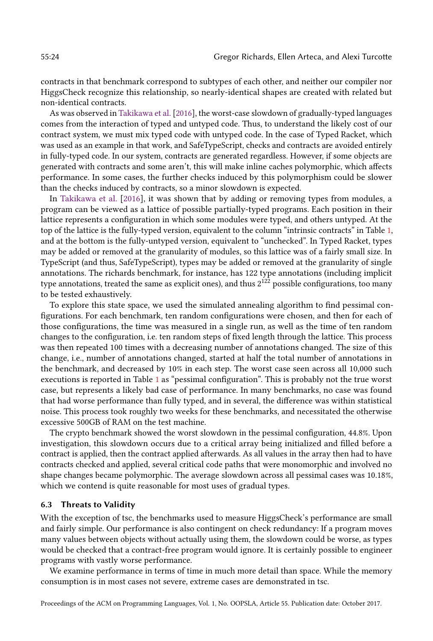contracts in that benchmark correspond to subtypes of each other, and neither our compiler nor HiggsCheck recognize this relationship, so nearly-identical shapes are created with related but non-identical contracts.

As was observed in [Takikawa et al.](#page-26-1) [\[2016\]](#page-26-1), the worst-case slowdown of gradually-typed languages comes from the interaction of typed and untyped code. Thus, to understand the likely cost of our contract system, we must mix typed code with untyped code. In the case of Typed Racket, which was used as an example in that work, and SafeTypeScript, checks and contracts are avoided entirely in fully-typed code. In our system, contracts are generated regardless. However, if some objects are generated with contracts and some aren't, this will make inline caches polymorphic, which affects performance. In some cases, the further checks induced by this polymorphism could be slower than the checks induced by contracts, so a minor slowdown is expected.

In [Takikawa et al.](#page-26-1) [\[2016\]](#page-26-1), it was shown that by adding or removing types from modules, a program can be viewed as a lattice of possible partially-typed programs. Each position in their lattice represents a configuration in which some modules were typed, and others untyped. At the top of the lattice is the fully-typed version, equivalent to the column "intrinsic contracts" in Table [1,](#page-21-0) and at the bottom is the fully-untyped version, equivalent to "unchecked". In Typed Racket, types may be added or removed at the granularity of modules, so this lattice was of a fairly small size. In TypeScript (and thus, SafeTypeScript), types may be added or removed at the granularity of single annotations. The richards benchmark, for instance, has 122 type annotations (including implicit type annotations, treated the same as explicit ones), and thus  $2^{122}$  possible configurations, too many to be tested exhaustively.

To explore this state space, we used the simulated annealing algorithm to find pessimal configurations. For each benchmark, ten random configurations were chosen, and then for each of those configurations, the time was measured in a single run, as well as the time of ten random changes to the configuration, i.e. ten random steps of fixed length through the lattice. This process was then repeated 100 times with a decreasing number of annotations changed. The size of this change, i.e., number of annotations changed, started at half the total number of annotations in the benchmark, and decreased by 10% in each step. The worst case seen across all 10,000 such executions is reported in Table [1](#page-21-0) as "pessimal configuration". This is probably not the true worst case, but represents a likely bad case of performance. In many benchmarks, no case was found that had worse performance than fully typed, and in several, the difference was within statistical noise. This process took roughly two weeks for these benchmarks, and necessitated the otherwise excessive 500GB of RAM on the test machine.

The crypto benchmark showed the worst slowdown in the pessimal configuration, 44.8%. Upon investigation, this slowdown occurs due to a critical array being initialized and filled before a contract is applied, then the contract applied afterwards. As all values in the array then had to have contracts checked and applied, several critical code paths that were monomorphic and involved no shape changes became polymorphic. The average slowdown across all pessimal cases was 10.18%, which we contend is quite reasonable for most uses of gradual types.

## 6.3 Threats to Validity

With the exception of tsc, the benchmarks used to measure HiggsCheck's performance are small and fairly simple. Our performance is also contingent on check redundancy: If a program moves many values between objects without actually using them, the slowdown could be worse, as types would be checked that a contract-free program would ignore. It is certainly possible to engineer programs with vastly worse performance.

We examine performance in terms of time in much more detail than space. While the memory consumption is in most cases not severe, extreme cases are demonstrated in tsc.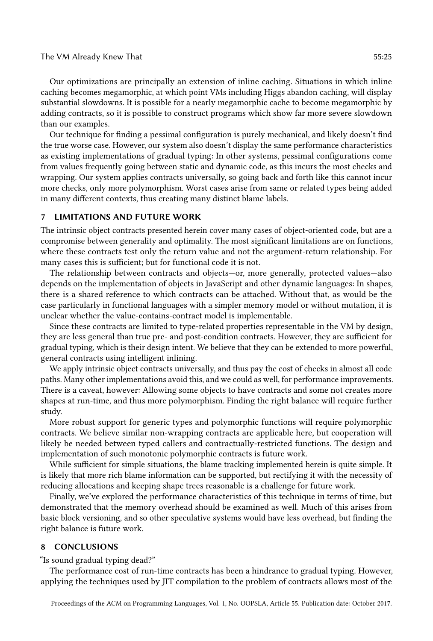#### The VM Already Knew That 55:25 and 55:25 and 55:25 and 55:25 and 55:25 and 55:25 and 55:25 and 55:25 and 55:25

Our optimizations are principally an extension of inline caching. Situations in which inline caching becomes megamorphic, at which point VMs including Higgs abandon caching, will display substantial slowdowns. It is possible for a nearly megamorphic cache to become megamorphic by adding contracts, so it is possible to construct programs which show far more severe slowdown than our examples.

Our technique for finding a pessimal configuration is purely mechanical, and likely doesn't find the true worse case. However, our system also doesn't display the same performance characteristics as existing implementations of gradual typing: In other systems, pessimal configurations come from values frequently going between static and dynamic code, as this incurs the most checks and wrapping. Our system applies contracts universally, so going back and forth like this cannot incur more checks, only more polymorphism. Worst cases arise from same or related types being added in many different contexts, thus creating many distinct blame labels.

### 7 LIMITATIONS AND FUTURE WORK

The intrinsic object contracts presented herein cover many cases of object-oriented code, but are a compromise between generality and optimality. The most significant limitations are on functions, where these contracts test only the return value and not the argument-return relationship. For many cases this is sufficient; but for functional code it is not.

The relationship between contracts and objects—or, more generally, protected values—also depends on the implementation of objects in JavaScript and other dynamic languages: In shapes, there is a shared reference to which contracts can be attached. Without that, as would be the case particularly in functional languages with a simpler memory model or without mutation, it is unclear whether the value-contains-contract model is implementable.

Since these contracts are limited to type-related properties representable in the VM by design, they are less general than true pre- and post-condition contracts. However, they are sufficient for gradual typing, which is their design intent. We believe that they can be extended to more powerful, general contracts using intelligent inlining.

We apply intrinsic object contracts universally, and thus pay the cost of checks in almost all code paths. Many other implementations avoid this, and we could as well, for performance improvements. There is a caveat, however: Allowing some objects to have contracts and some not creates more shapes at run-time, and thus more polymorphism. Finding the right balance will require further study.

More robust support for generic types and polymorphic functions will require polymorphic contracts. We believe similar non-wrapping contracts are applicable here, but cooperation will likely be needed between typed callers and contractually-restricted functions. The design and implementation of such monotonic polymorphic contracts is future work.

While sufficient for simple situations, the blame tracking implemented herein is quite simple. It is likely that more rich blame information can be supported, but rectifying it with the necessity of reducing allocations and keeping shape trees reasonable is a challenge for future work.

Finally, we've explored the performance characteristics of this technique in terms of time, but demonstrated that the memory overhead should be examined as well. Much of this arises from basic block versioning, and so other speculative systems would have less overhead, but finding the right balance is future work.

### 8 CONCLUSIONS

"Is sound gradual typing dead?"

The performance cost of run-time contracts has been a hindrance to gradual typing. However, applying the techniques used by JIT compilation to the problem of contracts allows most of the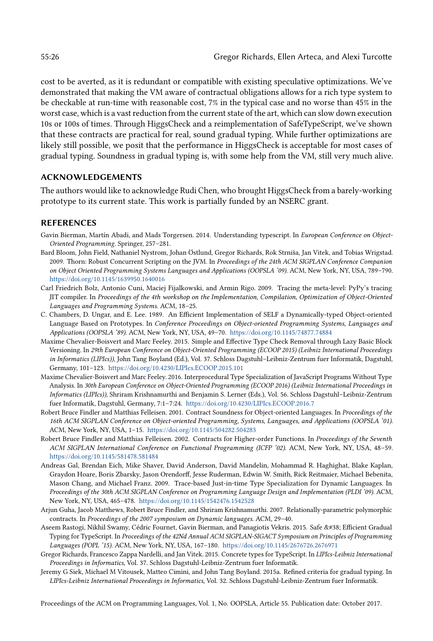cost to be averted, as it is redundant or compatible with existing speculative optimizations. We've demonstrated that making the VM aware of contractual obligations allows for a rich type system to be checkable at run-time with reasonable cost, 7% in the typical case and no worse than 45% in the worst case, which is a vast reduction from the current state of the art, which can slow down execution 10s or 100s of times. Through HiggsCheck and a reimplementation of SafeTypeScript, we've shown that these contracts are practical for real, sound gradual typing. While further optimizations are likely still possible, we posit that the performance in HiggsCheck is acceptable for most cases of gradual typing. Soundness in gradual typing is, with some help from the VM, still very much alive.

## ACKNOWLEDGEMENTS

The authors would like to acknowledge Rudi Chen, who brought HiggsCheck from a barely-working prototype to its current state. This work is partially funded by an NSERC grant.

#### REFERENCES

- <span id="page-25-5"></span>Gavin Bierman, Martín Abadi, and Mads Torgersen. 2014. Understanding typescript. In European Conference on Object-Oriented Programming. Springer, 257-281.
- <span id="page-25-1"></span>Bard Bloom, John Field, Nathaniel Nystrom, Johan Östlund, Gregor Richards, Rok Strniša, Jan Vitek, and Tobias Wrigstad. 2009. Thorn: Robust Concurrent Scripting on the JVM. In Proceedings of the 24th ACM SIGPLAN Conference Companion on Object Oriented Programming Systems Languages and Applications (OOPSLA '09). ACM, New York, NY, USA, 789-790. <https://doi.org/10.1145/1639950.1640016>
- <span id="page-25-11"></span>Carl Friedrich Bolz, Antonio Cuni, Maciej Fijalkowski, and Armin Rigo. 2009. Tracing the meta-level: PyPy's tracing JIT compiler. In Proceedings of the 4th workshop on the Implementation, Compilation, Optimization of Object-Oriented Languages and Programming Systems. ACM, 18-25.
- <span id="page-25-9"></span>C. Chambers, D. Ungar, and E. Lee. 1989. An Efficient Implementation of SELF a Dynamically-typed Object-oriented Language Based on Prototypes. In Conference Proceedings on Object-oriented Programming Systems, Languages and Applications (OOPSLA '89). ACM, New York, NY, USA, 49-70. <https://doi.org/10.1145/74877.74884>
- <span id="page-25-4"></span>Maxime Chevalier-Boisvert and Marc Feeley. 2015. Simple and Effective Type Check Removal through Lazy Basic Block Versioning. In 29th European Conference on Object-Oriented Programming (ECOOP 2015) (Leibniz International Proceedings in Informatics (LIPIcs)), John Tang Boyland (Ed.), Vol. 37. Schloss Dagstuhl-Leibniz-Zentrum fuer Informatik, Dagstuhl, Germany, 101-123. <https://doi.org/10.4230/LIPIcs.ECOOP.2015.101>
- <span id="page-25-3"></span>Maxime Chevalier-Boisvert and Marc Feeley. 2016. Interprocedural Type Specialization of JavaScript Programs Without Type Analysis. In 30th European Conference on Object-Oriented Programming (ECOOP 2016) (Leibniz International Proceedings in Informatics (LIPIcs)), Shriram Krishnamurthi and Benjamin S. Lerner (Eds.), Vol. 56. Schloss Dagstuhl-Leibniz-Zentrum fuer Informatik, Dagstuhl, Germany, 7:1-7:24. <https://doi.org/10.4230/LIPIcs.ECOOP.2016.7>
- <span id="page-25-7"></span>Robert Bruce Findler and Matthias Felleisen. 2001. Contract Soundness for Object-oriented Languages. In Proceedings of the 16th ACM SIGPLAN Conference on Object-oriented Programming, Systems, Languages, and Applications (OOPSLA '01). ACM, New York, NY, USA, 1-15. <https://doi.org/10.1145/504282.504283>
- <span id="page-25-8"></span>Robert Bruce Findler and Matthias Felleisen. 2002. Contracts for Higher-order Functions. In Proceedings of the Seventh ACM SIGPLAN International Conference on Functional Programming (ICFP '02). ACM, New York, NY, USA, 48-59. <https://doi.org/10.1145/581478.581484>
- <span id="page-25-10"></span>Andreas Gal, Brendan Eich, Mike Shaver, David Anderson, David Mandelin, Mohammad R. Haghighat, Blake Kaplan, Graydon Hoare, Boris Zbarsky, Jason Orendorff, Jesse Ruderman, Edwin W. Smith, Rick Reitmaier, Michael Bebenita, Mason Chang, and Michael Franz. 2009. Trace-based Just-in-time Type Specialization for Dynamic Languages. In Proceedings of the 30th ACM SIGPLAN Conference on Programming Language Design and Implementation (PLDI '09). ACM, New York, NY, USA, 465-478. <https://doi.org/10.1145/1542476.1542528>
- <span id="page-25-12"></span>Arjun Guha, Jacob Matthews, Robert Bruce Findler, and Shriram Krishnamurthi. 2007. Relationally-parametric polymorphic contracts. In Proceedings of the 2007 symposium on Dynamic languages. ACM, 29-40.
- <span id="page-25-2"></span>Aseem Rastogi, Nikhil Swamy, Cédric Fournet, Gavin Bierman, and Panagiotis Vekris. 2015. Safe & Efficient Gradual Typing for TypeScript. In Proceedings of the 42Nd Annual ACM SIGPLAN-SIGACT Symposium on Principles of Programming Languages (POPL '15). ACM, New York, NY, USA, 167-180. <https://doi.org/10.1145/2676726.2676971>
- <span id="page-25-0"></span>Gregor Richards, Francesco Zappa Nardelli, and Jan Vitek. 2015. Concrete types for TypeScript. In LIPIcs-Leibniz International Proceedings in Informatics, Vol. 37. Schloss Dagstuhl-Leibniz-Zentrum fuer Informatik.
- <span id="page-25-6"></span>Jeremy G Siek, Michael M Vitousek, Matteo Cimini, and John Tang Boyland. 2015a. Refined criteria for gradual typing. In LIPIcs-Leibniz International Proceedings in Informatics, Vol. 32. Schloss Dagstuhl-Leibniz-Zentrum fuer Informatik.